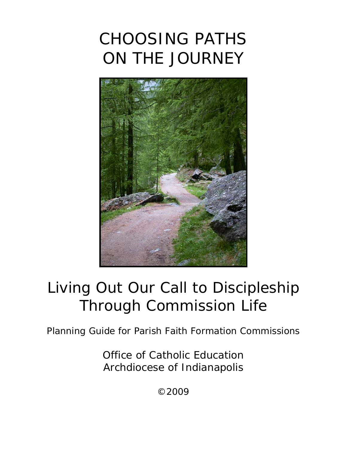# CHOOSING PATHS ON THE JOURNEY



# *Living Out Our Call to Discipleship Through Commission Life*

Planning Guide for Parish Faith Formation Commissions

Office of Catholic Education Archdiocese of Indianapolis

©2009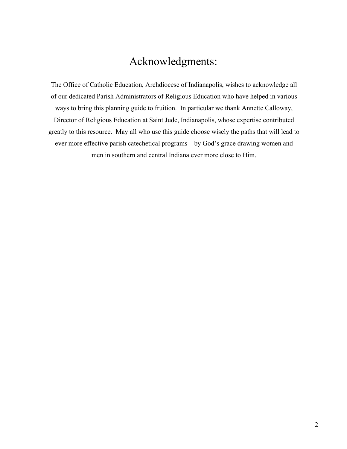# Acknowledgments:

The Office of Catholic Education, Archdiocese of Indianapolis, wishes to acknowledge all of our dedicated Parish Administrators of Religious Education who have helped in various ways to bring this planning guide to fruition. In particular we thank Annette Calloway, Director of Religious Education at Saint Jude, Indianapolis, whose expertise contributed greatly to this resource. May all who use this guide choose wisely the paths that will lead to ever more effective parish catechetical programs—by God's grace drawing women and men in southern and central Indiana ever more close to Him.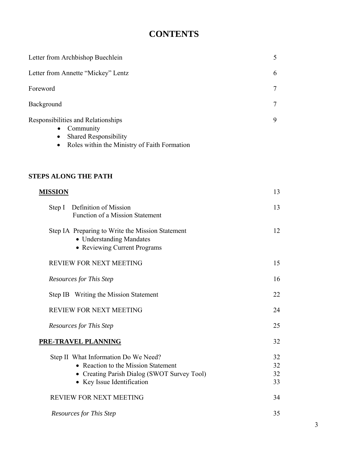# **CONTENTS**

| Letter from Archbishop Buechlein                                                                                                                            | 5      |
|-------------------------------------------------------------------------------------------------------------------------------------------------------------|--------|
| Letter from Annette "Mickey" Lentz                                                                                                                          | 6      |
| Foreword                                                                                                                                                    | $\tau$ |
| Background                                                                                                                                                  | 7      |
| Responsibilities and Relationships<br>Community<br>$\bullet$<br><b>Shared Responsibility</b><br>$\bullet$<br>• Roles within the Ministry of Faith Formation | 9      |

# **STEPS ALONG THE PATH**

| <b>MISSION</b>                                                                                                                                           | 13                   |
|----------------------------------------------------------------------------------------------------------------------------------------------------------|----------------------|
| Definition of Mission<br>Step I<br><b>Function of a Mission Statement</b>                                                                                | 13                   |
| Step IA Preparing to Write the Mission Statement<br>• Understanding Mandates<br>• Reviewing Current Programs                                             | 12                   |
| <b>REVIEW FOR NEXT MEETING</b>                                                                                                                           | 15                   |
| <b>Resources for This Step</b>                                                                                                                           | 16                   |
| Step IB Writing the Mission Statement                                                                                                                    | 22                   |
| <b>REVIEW FOR NEXT MEETING</b>                                                                                                                           | 24                   |
| <b>Resources for This Step</b>                                                                                                                           | 25                   |
| PRE-TRAVEL PLANNING                                                                                                                                      | 32                   |
| Step II What Information Do We Need?<br>• Reaction to the Mission Statement<br>• Creating Parish Dialog (SWOT Survey Tool)<br>• Key Issue Identification | 32<br>32<br>32<br>33 |
| <b>REVIEW FOR NEXT MEETING</b>                                                                                                                           | 34                   |
| <b>Resources for This Step</b>                                                                                                                           | 35                   |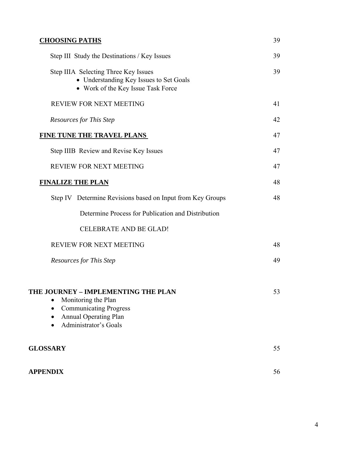| <b>CHOOSING PATHS</b>                                                                                                                                | 39 |
|------------------------------------------------------------------------------------------------------------------------------------------------------|----|
| Step III Study the Destinations / Key Issues                                                                                                         | 39 |
| Step IIIA Selecting Three Key Issues<br>• Understanding Key Issues to Set Goals<br>• Work of the Key Issue Task Force                                | 39 |
| REVIEW FOR NEXT MEETING                                                                                                                              | 41 |
| <b>Resources for This Step</b>                                                                                                                       | 42 |
| <b>FINE TUNE THE TRAVEL PLANS</b>                                                                                                                    | 47 |
| Step IIIB Review and Revise Key Issues                                                                                                               | 47 |
| REVIEW FOR NEXT MEETING                                                                                                                              | 47 |
| <b>FINALIZE THE PLAN</b>                                                                                                                             | 48 |
| Step IV Determine Revisions based on Input from Key Groups                                                                                           | 48 |
| Determine Process for Publication and Distribution                                                                                                   |    |
| <b>CELEBRATE AND BE GLAD!</b>                                                                                                                        |    |
| REVIEW FOR NEXT MEETING                                                                                                                              | 48 |
| <b>Resources for This Step</b>                                                                                                                       | 49 |
| THE JOURNEY - IMPLEMENTING THE PLAN<br>Monitoring the Plan<br><b>Communicating Progress</b><br><b>Annual Operating Plan</b><br>Administrator's Goals | 53 |
| <b>GLOSSARY</b>                                                                                                                                      | 55 |
| <b>APPENDIX</b>                                                                                                                                      | 56 |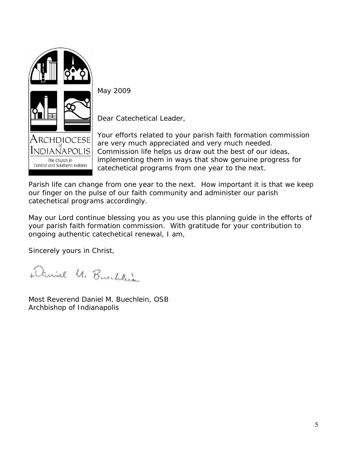

May 2009

Dear Catechetical Leader,

Your efforts related to your parish faith formation commission are very much appreciated and very much needed. Commission life helps us draw out the best of our ideas, implementing them in ways that show genuine progress for catechetical programs from one year to the next.

Parish life can change from one year to the next. How important it is that we keep our finger on the pulse of our faith community and administer our parish catechetical programs accordingly.

May our Lord continue blessing you as you use this planning guide in the efforts of your parish faith formation commission. With gratitude for your contribution to ongoing authentic catechetical renewal, I am,

Sincerely yours in Christ,

Daniel M. Buechlein

Most Reverend Daniel M. Buechlein, OSB Archbishop of Indianapolis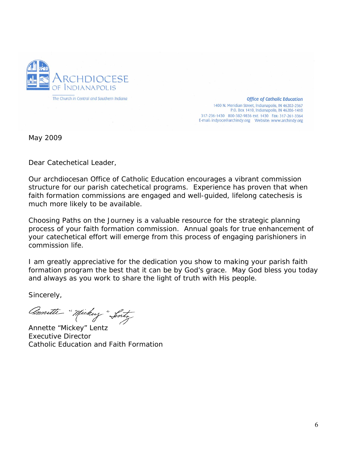

**Office of Catholic Education** 1400 N. Meridian Street, Indianapolis, IN 46202-2367 P.O. Box 1410, Indianapolis, IN 46206-1410 317-236-1430 800-382-9836 ext. 1430 Fax: 317-261-3364 

May 2009

Dear Catechetical Leader,

Our archdiocesan Office of Catholic Education encourages a vibrant commission structure for our parish catechetical programs. Experience has proven that when faith formation commissions are engaged and well-guided, lifelong catechesis is much more likely to be available.

*Choosing Paths on the Journey* is a valuable resource for the strategic planning process of your faith formation commission. Annual goals for true enhancement of your catechetical effort will emerge from this process of engaging parishioners in commission life.

I am greatly appreciative for the dedication you show to making your parish faith formation program the best that it can be by God's grace. May God bless you today and always as you work to share the light of truth with His people.

Sincerely,

Comitte "Mickey" Lost,<br>Annette "Mickey" Lentz

Executive Director Catholic Education and Faith Formation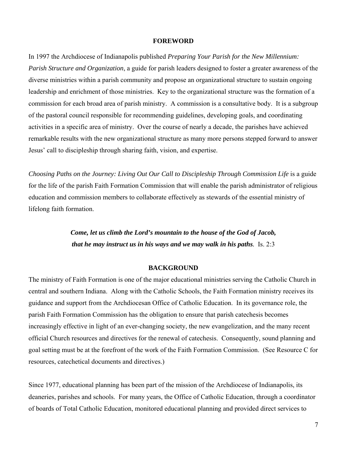#### **FOREWORD**

In 1997 the Archdiocese of Indianapolis published *Preparing Your Parish for the New Millennium: Parish Structure and Organization*, a guide for parish leaders designed to foster a greater awareness of the diverse ministries within a parish community and propose an organizational structure to sustain ongoing leadership and enrichment of those ministries. Key to the organizational structure was the formation of a commission for each broad area of parish ministry. A commission is a consultative body. It is a subgroup of the pastoral council responsible for recommending guidelines, developing goals, and coordinating activities in a specific area of ministry. Over the course of nearly a decade, the parishes have achieved remarkable results with the new organizational structure as many more persons stepped forward to answer Jesus' call to discipleship through sharing faith, vision, and expertise.

*Choosing Paths on the Journey: Living Out Our Call to Discipleship Through Commission Life is a guide* for the life of the parish Faith Formation Commission that will enable the parish administrator of religious education and commission members to collaborate effectively as stewards of the essential ministry of lifelong faith formation.

# *Come, let us climb the Lord's mountain to the house of the God of Jacob, that he may instruct us in his ways and we may walk in his paths.* Is. 2:3

#### **BACKGROUND**

The ministry of Faith Formation is one of the major educational ministries serving the Catholic Church in central and southern Indiana. Along with the Catholic Schools, the Faith Formation ministry receives its guidance and support from the Archdiocesan Office of Catholic Education. In its governance role, the parish Faith Formation Commission has the obligation to ensure that parish catechesis becomes increasingly effective in light of an ever-changing society, the new evangelization, and the many recent official Church resources and directives for the renewal of catechesis. Consequently, sound planning and goal setting must be at the forefront of the work of the Faith Formation Commission. (See Resource C for resources, catechetical documents and directives.)

Since 1977, educational planning has been part of the mission of the Archdiocese of Indianapolis, its deaneries, parishes and schools. For many years, the Office of Catholic Education, through a coordinator of boards of Total Catholic Education, monitored educational planning and provided direct services to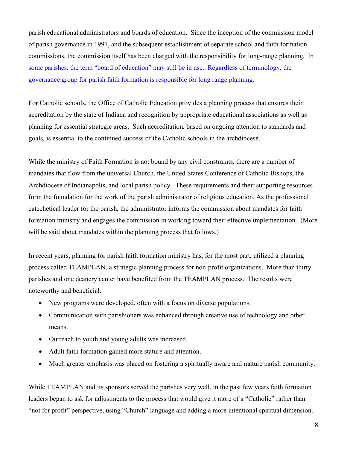parish educational administrators and boards of education. Since the inception of the commission model of parish governance in 1997, and the subsequent establishment of separate school and faith formation commissions, the commission itself has been charged with the responsibility for long-range planning. In some parishes, the term "board of education" may still be in use. Regardless of terminology, the governance group for parish faith formation is responsible for long range planning.

For Catholic schools, the Office of Catholic Education provides a planning process that ensures their accreditation by the state of Indiana and recognition by appropriate educational associations as well as planning for essential strategic areas. Such accreditation, based on ongoing attention to standards and goals, is essential to the continued success of the Catholic schools in the archdiocese.

While the ministry of Faith Formation is not bound by any civil constraints, there are a number of mandates that flow from the universal Church, the United States Conference of Catholic Bishops, the Archdiocese of Indianapolis, and local parish policy. These requirements and their supporting resources form the foundation for the work of the parish administrator of religious education. As the professional catechetical leader for the parish, the administrator informs the commission about mandates for faith formation ministry and engages the commission in working toward their effective implementation (More will be said about mandates within the planning process that follows.)

In recent years, planning for parish faith formation ministry has, for the most part, utilized a planning process called TEAMPLAN, a strategic planning process for non-profit organizations. More than thirty parishes and one deanery center have benefited from the TEAMPLAN process. The results were noteworthy and beneficial.

- New programs were developed, often with a focus on diverse populations.
- Communication with parishioners was enhanced through creative use of technology and other means.
- Outreach to youth and young adults was increased.
- Adult faith formation gained more stature and attention.
- Much greater emphasis was placed on fostering a spiritually aware and mature parish community.

While TEAMPLAN and its sponsors served the parishes very well, in the past few years faith formation leaders began to ask for adjustments to the process that would give it more of a "Catholic" rather than "not for profit" perspective, using "Church" language and adding a more intentional spiritual dimension.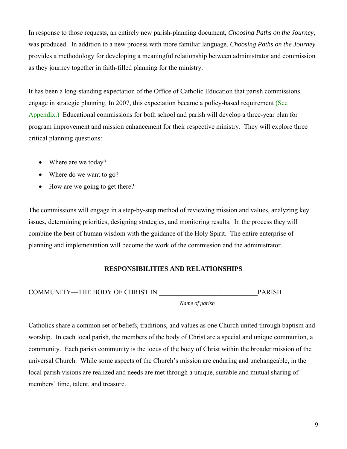In response to those requests, an entirely new parish-planning document, *Choosing Paths on the Journey,*  was produced. In addition to a new process with more familiar language, *Choosing Paths on the Journey* provides a methodology for developing a meaningful relationship between administrator and commission as they journey together in faith-filled planning for the ministry.

It has been a long-standing expectation of the Office of Catholic Education that parish commissions engage in strategic planning. In 2007, this expectation became a policy-based requirement (See Appendix.) Educational commissions for both school and parish will develop a three-year plan for program improvement and mission enhancement for their respective ministry. They will explore three critical planning questions:

- Where are we today?
- Where do we want to go?
- How are we going to get there?

The commissions will engage in a step-by-step method of reviewing mission and values, analyzing key issues, determining priorities, designing strategies, and monitoring results. In the process they will combine the best of human wisdom with the guidance of the Holy Spirit. The entire enterprise of planning and implementation will become the work of the commission and the administrator.

## **RESPONSIBILITIES AND RELATIONSHIPS**

COMMUNITY—THE BODY OF CHRIST IN PARISH

*Name of parish* 

Catholics share a common set of beliefs, traditions, and values as one Church united through baptism and worship. In each local parish, the members of the body of Christ are a special and unique communion, a community. Each parish community is the locus of the body of Christ within the broader mission of the universal Church. While some aspects of the Church's mission are enduring and unchangeable, in the local parish visions are realized and needs are met through a unique, suitable and mutual sharing of members' time, talent, and treasure.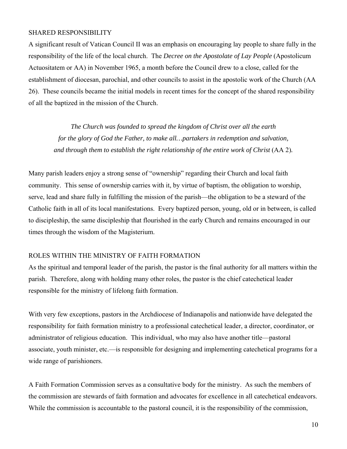#### SHARED RESPONSIBILITY

A significant result of Vatican Council II was an emphasis on encouraging lay people to share fully in the responsibility of the life of the local church. The *Decree on the Apostolate of Lay People* (Apostolicum Actuositatem or AA) in November 1965, a month before the Council drew to a close, called for the establishment of diocesan, parochial, and other councils to assist in the apostolic work of the Church (AA 26). These councils became the initial models in recent times for the concept of the shared responsibility of all the baptized in the mission of the Church.

*The Church was founded to spread the kingdom of Christ over all the earth for the glory of God the Father, to make all…partakers in redemption and salvation, and through them to establish the right relationship of the entire work of Christ* (AA 2).

Many parish leaders enjoy a strong sense of "ownership" regarding their Church and local faith community. This sense of ownership carries with it, by virtue of baptism, the obligation to worship, serve, lead and share fully in fulfilling the mission of the parish—the obligation to be a steward of the Catholic faith in all of its local manifestations. Every baptized person, young, old or in between, is called to discipleship, the same discipleship that flourished in the early Church and remains encouraged in our times through the wisdom of the Magisterium.

#### ROLES WITHIN THE MINISTRY OF FAITH FORMATION

As the spiritual and temporal leader of the parish, the pastor is the final authority for all matters within the parish. Therefore, along with holding many other roles, the pastor is the chief catechetical leader responsible for the ministry of lifelong faith formation.

With very few exceptions, pastors in the Archdiocese of Indianapolis and nationwide have delegated the responsibility for faith formation ministry to a professional catechetical leader, a director, coordinator, or administrator of religious education. This individual, who may also have another title—pastoral associate, youth minister, etc.—is responsible for designing and implementing catechetical programs for a wide range of parishioners.

A Faith Formation Commission serves as a consultative body for the ministry. As such the members of the commission are stewards of faith formation and advocates for excellence in all catechetical endeavors. While the commission is accountable to the pastoral council, it is the responsibility of the commission,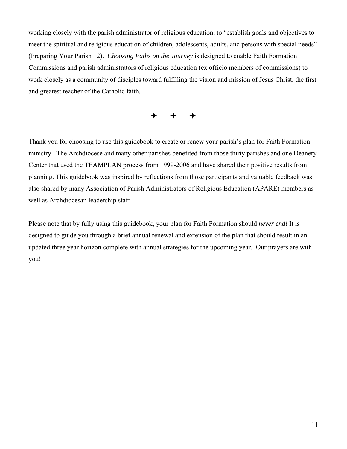working closely with the parish administrator of religious education, to "establish goals and objectives to meet the spiritual and religious education of children, adolescents, adults, and persons with special needs" (Preparing Your Parish 12). *Choosing Paths on the Journey* is designed to enable Faith Formation Commissions and parish administrators of religious education (ex officio members of commissions) to work closely as a community of disciples toward fulfilling the vision and mission of Jesus Christ, the first and greatest teacher of the Catholic faith.

# $+$  + +

Thank you for choosing to use this guidebook to create or renew your parish's plan for Faith Formation ministry. The Archdiocese and many other parishes benefited from those thirty parishes and one Deanery Center that used the TEAMPLAN process from 1999-2006 and have shared their positive results from planning. This guidebook was inspired by reflections from those participants and valuable feedback was also shared by many Association of Parish Administrators of Religious Education (APARE) members as well as Archdiocesan leadership staff.

Please note that by fully using this guidebook, your plan for Faith Formation should *never end!* It is designed to guide you through a brief annual renewal and extension of the plan that should result in an updated three year horizon complete with annual strategies for the upcoming year. Our prayers are with you!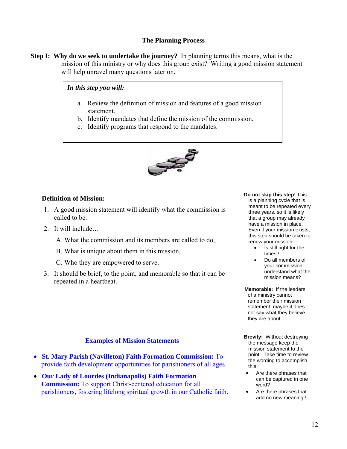## **The Planning Process**

**Step I: Why do we seek to undertake the journey?** In planning terms this means, what is the mission of this ministry or why does this group exist? Writing a good mission statement will help unravel many questions later on.

*In this step you will:*

- a. Review the definition of mission and features of a good mission statement.
- b. Identify mandates that define the mission of the commission.
- c. Identify programs that respond to the mandates.



## **Definition of Mission:**

- 1. A good mission statement will identify what the commission is called to be.
- 2. It will include
	- A. What the commission and its members are called to do,
	- B. What is unique about them in this mission,
	- C. Who they are empowered to serve.
- 3. It should be brief, to the point, and memorable so that it can be repeated in a heartbeat.

## **Examples of Mission Statements**

- **St. Mary Parish (Navilleton) Faith Formation Commission:** To provide faith development opportunities for parishioners of all ages.
- **Our Lady of Lourdes (Indianapolis) Faith Formation Commission:** To support Christ-centered education for all parishioners, fostering lifelong spiritual growth in our Catholic faith.

**Do not skip this step!** This is a planning cycle that is meant to be repeated every three years, so it is likely that a group may already have a mission in place. Even if your mission exists, this step should be taken to renew your mission.

- Is still right for the times?
- Do all members of your commission understand what the mission means?

**Memorable:** If the leaders of a ministry cannot remember their mission statement, maybe it does not say what they believe they are about.

- **Brevity:** Without destroying the message keep the mission statement to the point. Take time to review the wording to accomplish this.
	- Are there phrases that can be captured in one word?
	- Are there phrases that add no new meaning?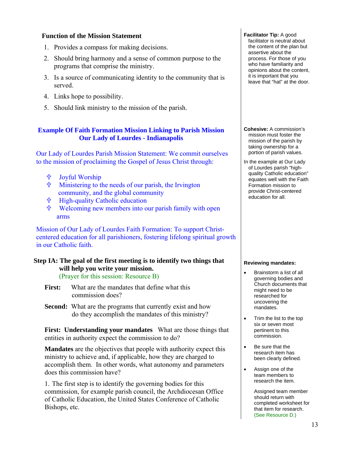## **Function of the Mission Statement**

- 1. Provides a compass for making decisions.
- 2. Should bring harmony and a sense of common purpose to the programs that comprise the ministry.
- 3. Is a source of communicating identity to the community that is served.
- 4. Links hope to possibility.
- 5. Should link ministry to the mission of the parish.

#### **Example Of Faith Formation Mission Linking to Parish Mission Our Lady of Lourdes - Indianapolis**

Our Lady of Lourdes Parish Mission Statement: We commit ourselves to the mission of proclaiming the Gospel of Jesus Christ through:

- **the Joyful Worship**
- Ministering to the needs of our parish, the Irvington community, and the global community
- **廿 High-quality Catholic education**
- Welcoming new members into our parish family with open arms

Mission of Our Lady of Lourdes Faith Formation: To support Christcentered education for all parishioners, fostering lifelong spiritual growth in our Catholic faith.

#### **Step IA: The goal of the first meeting is to identify two things that will help you write your mission.**  (Prayer for this session: Resource B)

- **First:** What are the mandates that define what this commission does?
- **Second:** What are the programs that currently exist and how do they accomplish the mandates of this ministry?

**First: Understanding your mandates** What are those things that entities in authority expect the commission to do?

**Mandates** are the objectives that people with authority expect this ministry to achieve and, if applicable, how they are charged to accomplish them. In other words, what autonomy and parameters does this commission have?

1. The first step is to identify the governing bodies for this commission, for example parish council, the Archdiocesan Office of Catholic Education, the United States Conference of Catholic Bishops, etc.

**Facilitator Tip:** A good facilitator is neutral about the content of the plan but assertive about the process. For those of you who have familiarity and opinions about the content, it is important that you leave that "hat" at the door.

**Cohesive:** A commission's mission must foster the mission of the parish by taking ownership for a portion of parish values.

In the example at Our Lady of Lourdes parish "highquality Catholic education" equates well with the Faith Formation mission to provide Christ-centered education for all.

#### **Reviewing mandates:**

- Brainstorm a list of all governing bodies and Church documents that might need to be researched for uncovering the mandates.
- Trim the list to the top six or seven most pertinent to this commission.
- Be sure that the research item has been clearly defined.
- Assign one of the team members to research the item.

Assigned team member should return with completed worksheet for that item for research. (See Resource D.)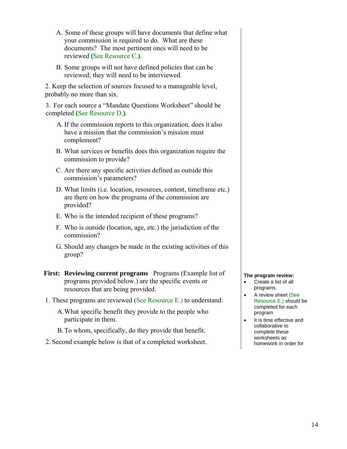- A. Some of these groups will have documents that define what your commission is required to do. What are these documents? The most pertinent ones will need to be reviewed **(**See Resource C.**)**.
- B. Some groups will not have defined policies that can be reviewed; they will need to be interviewed.

2. Keep the selection of sources focused to a manageable level, probably no more than six.

3. For each source a "Mandate Questions Worksheet" should be completed **(**See Resource D.**)**.

- A.If the commission reports to this organization, does it also have a mission that the commission's mission must complement?
- B. What services or benefits does this organization require the commission to provide?
- C. Are there any specific activities defined as outside this commission's parameters?
- D. What limits (i.e. location, resources, content, timeframe etc.) are there on how the programs of the commission are provided?
- E. Who is the intended recipient of these programs?
- F. Who is outside (location, age, etc.) the jurisdiction of the commission?
- G. Should any changes be made in the existing activities of this group?
- **First: Reviewing current programs** Programs (Example list of programs provided below.) are the specific events or resources that are being provided.
- 1. These programs are reviewed (See Resource E.) to understand:
	- A.What specific benefit they provide to the people who participate in them.
	- B.To whom, specifically, do they provide that benefit.
- 2. Second example below is that of a completed worksheet.

#### **The program review:**

- Create a list of all programs.
- A review sheet (See Resource E.) should be completed for each program
- It is time effective and collaborative to complete these worksheets as homework in order for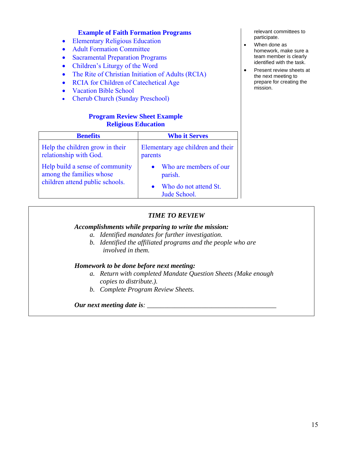#### **Example of Faith Formation Programs**

- Elementary Religious Education
- Adult Formation Committee
- Sacramental Preparation Programs
- Children's Liturgy of the Word
- The Rite of Christian Initiation of Adults (RCIA)
- RCIA for Children of Catechetical Age
- Vacation Bible School
- Cherub Church (Sunday Preschool)

#### **Program Review Sheet Example Religious Education**

| <b>Benefits</b>                                                                                | <b>Who it Serves</b>                                                       |  |
|------------------------------------------------------------------------------------------------|----------------------------------------------------------------------------|--|
| Help the children grow in their<br>relationship with God.                                      | Elementary age children and their<br>parents                               |  |
| Help build a sense of community<br>among the families whose<br>children attend public schools. | Who are members of our<br>parish.<br>Who do not attend St.<br>Jude School. |  |

relevant committees to participate.

- When done as homework, make sure a team member is clearly identified with the task.
- Present review sheets at the next meeting to prepare for creating the mission.

#### *TIME TO REVIEW*

#### *Accomplishments while preparing to write the mission:*

- *a. Identified mandates for further investigation.*
- *b. Identified the affiliated programs and the people who are involved in them.*

#### *Homework to be done before next meeting:*

- *a. Return with completed Mandate Question Sheets (Make enough copies to distribute.).*
- *b. Complete Program Review Sheets.*

#### *Our next meeting date is: \_\_\_\_\_\_\_\_\_\_\_\_\_\_\_\_\_\_\_\_\_\_\_\_\_\_\_\_\_\_\_\_\_\_\_\_\_\_*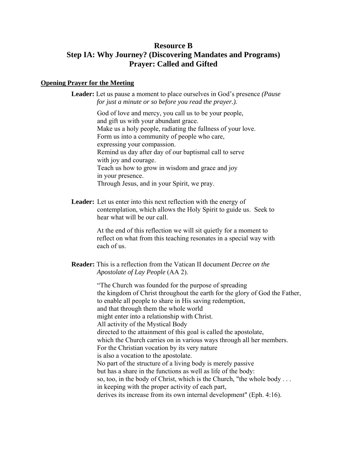## **Resource B**

# **Step IA: Why Journey? (Discovering Mandates and Programs) Prayer: Called and Gifted**

#### **Opening Prayer for the Meeting**

**Leader:** Let us pause a moment to place ourselves in God's presence *(Pause for just a minute or so before you read the prayer.).* 

> God of love and mercy, you call us to be your people, and gift us with your abundant grace. Make us a holy people, radiating the fullness of your love. Form us into a community of people who care, expressing your compassion. Remind us day after day of our baptismal call to serve with joy and courage. Teach us how to grow in wisdom and grace and joy in your presence. Through Jesus, and in your Spirit, we pray.

**Leader:** Let us enter into this next reflection with the energy of contemplation, which allows the Holy Spirit to guide us. Seek to hear what will be our call.

> At the end of this reflection we will sit quietly for a moment to reflect on what from this teaching resonates in a special way with each of us.

#### **Reader:** This is a reflection from the Vatican II document *Decree on the Apostolate of Lay People* (AA 2).

"The Church was founded for the purpose of spreading the kingdom of Christ throughout the earth for the glory of God the Father, to enable all people to share in His saving redemption, and that through them the whole world might enter into a relationship with Christ. All activity of the Mystical Body directed to the attainment of this goal is called the apostolate, which the Church carries on in various ways through all her members. For the Christian vocation by its very nature is also a vocation to the apostolate. No part of the structure of a living body is merely passive but has a share in the functions as well as life of the body: so, too, in the body of Christ, which is the Church, "the whole body . . . in keeping with the proper activity of each part, derives its increase from its own internal development" (Eph. 4:16).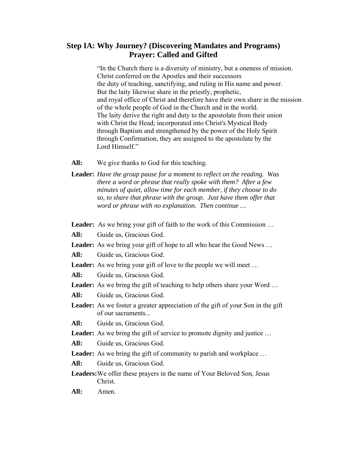## **Step IA: Why Journey? (Discovering Mandates and Programs) Prayer: Called and Gifted**

"In the Church there is a diversity of ministry, but a oneness of mission. Christ conferred on the Apostles and their successors the duty of teaching, sanctifying, and ruling in His name and power. But the laity likewise share in the priestly, prophetic, and royal office of Christ and therefore have their own share in the mission of the whole people of God in the Church and in the world. The laity derive the right and duty to the apostolate from their union with Christ the Head; incorporated into Christ's Mystical Body through Baptism and strengthened by the power of the Holy Spirit through Confirmation, they are assigned to the apostolate by the Lord Himself."

- **All:** We give thanks to God for this teaching.
- **Leader:** *Have the group pause for a moment to reflect on the reading. Was there a word or phrase that really spoke with them? After a few minutes of quiet, allow time for each member, if they choose to do so, to share that phrase with the group. Just have them offer that word or phrase with no explanation. Then continue …*

Leader: As we bring your gift of faith to the work of this Commission ...

**All:** Guide us, Gracious God.

Leader: As we bring your gift of hope to all who hear the Good News ...

**All:** Guide us, Gracious God.

Leader: As we bring your gift of love to the people we will meet ...

**All:** Guide us, Gracious God.

Leader: As we bring the gift of teaching to help others share your Word ...

**All:** Guide us, Gracious God.

**Leader:** As we foster a greater appreciation of the gift of your Son in the gift of our sacraments...

**All:** Guide us, Gracious God.

Leader: As we bring the gift of service to promote dignity and justice ...

**All:** Guide us, Gracious God.

Leader: As we bring the gift of community to parish and workplace ...

**All:** Guide us, Gracious God.

**Leaders:** We offer these prayers in the name of Your Beloved Son, Jesus Christ.

**All:** Amen.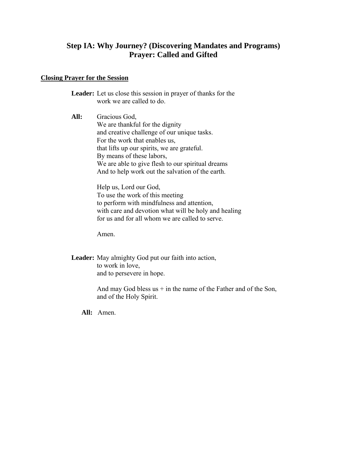# **Step IA: Why Journey? (Discovering Mandates and Programs) Prayer: Called and Gifted**

#### **Closing Prayer for the Session**

**Leader:** Let us close this session in prayer of thanks for the work we are called to do.

**All:** Gracious God, We are thankful for the dignity and creative challenge of our unique tasks. For the work that enables us, that lifts up our spirits, we are grateful. By means of these labors, We are able to give flesh to our spiritual dreams And to help work out the salvation of the earth.

> Help us, Lord our God, To use the work of this meeting to perform with mindfulness and attention, with care and devotion what will be holy and healing for us and for all whom we are called to serve.

Amen.

**Leader:** May almighty God put our faith into action, to work in love, and to persevere in hope.

> And may God bless us  $+$  in the name of the Father and of the Son, and of the Holy Spirit.

**All:** Amen.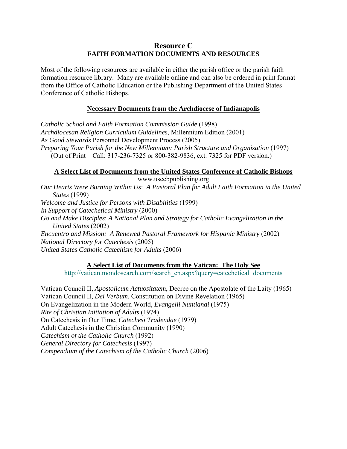## **Resource C FAITH FORMATION DOCUMENTS AND RESOURCES**

Most of the following resources are available in either the parish office or the parish faith formation resource library. Many are available online and can also be ordered in print format from the Office of Catholic Education or the Publishing Department of the United States Conference of Catholic Bishops.

## **Necessary Documents from the Archdiocese of Indianapolis**

*Catholic School and Faith Formation Commission Guide* (1998) *Archdiocesan Religion Curriculum Guidelines*, Millennium Edition (2001) *As Good Stewards* Personnel Development Process (2005) *Preparing Your Parish for the New Millennium: Parish Structure and Organization* (1997) (Out of Print—Call: 317-236-7325 or 800-382-9836, ext. 7325 for PDF version.)

## **A Select List of Documents from the United States Conference of Catholic Bishops**

www.usccbpublishing.org *Our Hearts Were Burning Within Us*: *A Pastoral Plan for Adult Faith Formation in the United States* (1999) *Welcome and Justice for Persons with Disabilities* (1999) *In Support of Catechetical Ministry* (2000) *Go and Make Disciples*: *A National Plan and Strategy for Catholic Evangelization in the United States* (2002) *Encuentro and Mission: A Renewed Pastoral Framework for Hispanic Ministry* (2002) *National Directory for Catechesis* (2005) *United States Catholic Catechism for Adults* (2006)

## **A Select List of Documents from the Vatican: The Holy See**

http://vatican.mondosearch.com/search\_en.aspx?query=catechetical+documents

Vatican Council II, *Apostolicum Actuositatem*, Decree on the Apostolate of the Laity (1965) Vatican Council II, *Dei Verbum,* Constitution on Divine Revelation (1965) On Evangelization in the Modern World, *Evangelii Nuntiandi* (1975) *Rite of Christian Initiation of Adults* (1974) On Catechesis in Our Time, *Catechesi Tradendae* (1979) Adult Catechesis in the Christian Community (1990) *Catechism of the Catholic Church* (1992) *General Directory for Catechesis* (1997) *Compendium of the Catechism of the Catholic Church* (2006)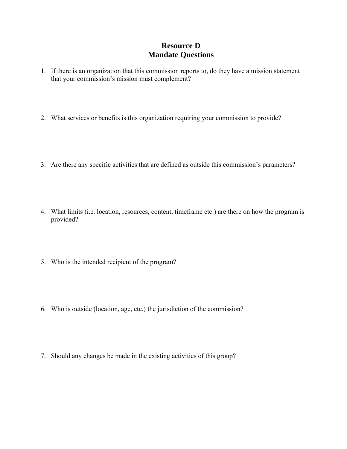# **Resource D Mandate Questions**

- 1. If there is an organization that this commission reports to, do they have a mission statement that your commission's mission must complement?
- 2. What services or benefits is this organization requiring your commission to provide?
- 3. Are there any specific activities that are defined as outside this commission's parameters?
- 4. What limits (i.e. location, resources, content, timeframe etc.) are there on how the program is provided?
- 5. Who is the intended recipient of the program?
- 6. Who is outside (location, age, etc.) the jurisdiction of the commission?
- 7. Should any changes be made in the existing activities of this group?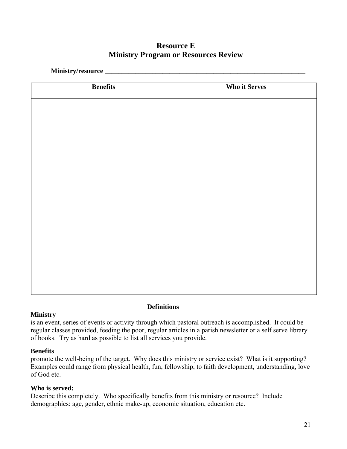# **Resource E Ministry Program or Resources Review**

**Ministry/resource \_\_\_\_\_\_\_\_\_\_\_\_\_\_\_\_\_\_\_\_\_\_\_\_\_\_\_\_\_\_\_\_\_\_\_\_\_\_\_\_\_\_\_\_\_\_\_\_\_\_\_\_\_\_\_\_\_\_\_** 

| <b>Benefits</b> | <b>Who it Serves</b> |
|-----------------|----------------------|
|                 |                      |
|                 |                      |
|                 |                      |
|                 |                      |
|                 |                      |
|                 |                      |
|                 |                      |
|                 |                      |
|                 |                      |
|                 |                      |
|                 |                      |
|                 |                      |
|                 |                      |
|                 |                      |
|                 |                      |
|                 |                      |
|                 |                      |
|                 |                      |
|                 |                      |
|                 |                      |
|                 |                      |
|                 |                      |
|                 |                      |
|                 |                      |
|                 |                      |
|                 |                      |

## **Ministry**

**Definitions**

is an event, series of events or activity through which pastoral outreach is accomplished. It could be regular classes provided, feeding the poor, regular articles in a parish newsletter or a self serve library of books. Try as hard as possible to list all services you provide.

# **Benefits**

promote the well-being of the target. Why does this ministry or service exist? What is it supporting? Examples could range from physical health, fun, fellowship, to faith development, understanding, love of God etc.

# **Who is served:**

Describe this completely. Who specifically benefits from this ministry or resource? Include demographics: age, gender, ethnic make-up, economic situation, education etc.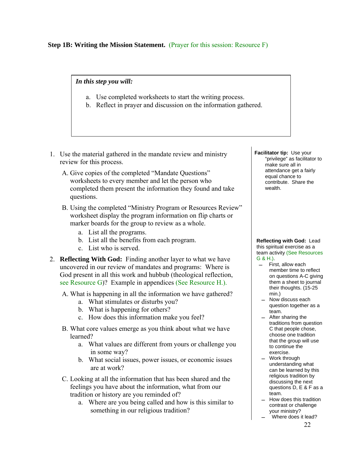**Step 1B: Writing the Mission Statement.** (Prayer for this session: Resource F)

*In this step you will:*

- a. Use completed worksheets to start the writing process.
- b. Reflect in prayer and discussion on the information gathered.
- 1. Use the material gathered in the mandate review and ministry review for this process.
	- A. Give copies of the completed "Mandate Questions" worksheets to every member and let the person who completed them present the information they found and take questions.
	- B. Using the completed "Ministry Program or Resources Review" worksheet display the program information on flip charts or marker boards for the group to review as a whole.
		- a. List all the programs.
		- b. List all the benefits from each program.
		- c. List who is served.
- 2. **Reflecting With God:** Finding another layer to what we have uncovered in our review of mandates and programs:Where is God present in all this work and hubbub (theological reflection, see Resource G)? Example in appendices (See Resource H.).
	- A. What is happening in all the information we have gathered?
		- a. What stimulates or disturbs you?
		- b. What is happening for others?
		- c. How does this information make you feel?
	- B. What core values emerge as you think about what we have learned?
		- a. What values are different from yours or challenge you in some way?
		- b. What social issues, power issues, or economic issues are at work?
	- C. Looking at all the information that has been shared and the feelings you have about the information, what from our tradition or history are you reminded of?
		- a. Where are you being called and how is this similar to something in our religious tradition?

**Facilitator tip:** Use your "privilege" as facilitator to make sure all in attendance get a fairly equal chance to contribute. Share the wealth.

**Reflecting with God:** Lead this spiritual exercise as a team activity (See Resources G & H.).

- First, allow each member time to reflect on questions A-C giving them a sheet to journal their thoughts. (15-25 min.)
- Now discuss each question together as a team.
- After sharing the traditions from question C that people chose, choose one tradition that the group will use to continue the exercise.
- Work through understanding what can be learned by this religious tradition by discussing the next questions D, E & F as a team.
- $-$  How does this tradition contrast or challenge your ministry?
- Where does it lead?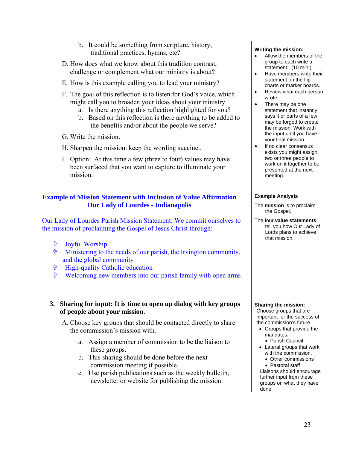- b. It could be something from scripture, history, traditional practices, hymns, etc?
- D. How does what we know about this tradition contrast, challenge or complement what our ministry is about?
- E. How is this example calling you to lead your ministry?
- F. The goal of this reflection is to listen for God's voice, which might call you to broaden your ideas about your ministry.
	- a. Is there anything this reflection highlighted for you?
	- b. Based on this reflection is there anything to be added to the benefits and/or about the people we serve?
- G. Write the mission.
- H. Sharpen the mission: keep the wording succinct.
- I. Option: At this time a few (three to four) values may have been surfaced that you want to capture to illuminate your mission.

#### **Example of Mission Statement with Inclusion of Value Affirmation Our Lady of Lourdes - Indianapolis**

Our Lady of Lourdes Parish Mission Statement: We commit ourselves to the mission of proclaiming the Gospel of Jesus Christ through:

- **the Joyful Worship**
- Ministering to the needs of our parish, the Irvington community, and the global community
- High-quality Catholic education
- Welcoming new members into our parish family with open arms

#### **3. Sharing for input: It is time to open up dialog with key groups of people about your mission.**

- A. Choose key groups that should be contacted directly to share the commission's mission with.
	- a. Assign a member of commission to be the liaison to these groups.
	- b. This sharing should be done before the next commission meeting if possible.
	- c. Use parish publications such as the weekly bulletin, newsletter or website for publishing the mission.

#### **Writing the mission:**

- Allow the members of the group to each write a statement. (10 min.)
- Have members write their statement on the flip charts or marker boards.
- Review what each person wrote.
- There may be one statement that instantly says it or parts of a few may be forged to create the mission. Work with the input until you have your final mission.
- If no clear consensus exists you might assign two or three people to work on it together to be presented at the next meeting.

#### **Example Analysis**

- The **mission** is to proclaim the Gospel.
- The four **value statements** tell you how Our Lady of Lords plans to achieve that mission.

#### **Sharing the mission:**

Choose groups that are important for the success of the commission's future.

- Groups that provide the mandates.
	- Parish Council
- Lateral groups that work with the commission.
	- Other commissions Pastoral staff

Liaisons should encourage further input from these groups on what they have done.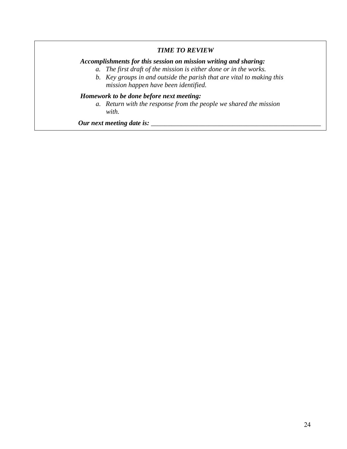## *TIME TO REVIEW*

## *Accomplishments for this session on mission writing and sharing:*

- *a. The first draft of the mission is either done or in the works.*
- *b. Key groups in and outside the parish that are vital to making this mission happen have been identified.*

## *Homework to be done before next meeting:*

*a. Return with the response from the people we shared the mission with.* 

*Our next meeting date is: \_\_\_\_\_\_\_\_\_\_\_\_\_\_\_\_\_\_\_\_\_\_\_\_\_\_\_\_\_\_\_\_\_\_\_\_\_\_\_\_\_\_\_\_\_\_\_\_\_\_*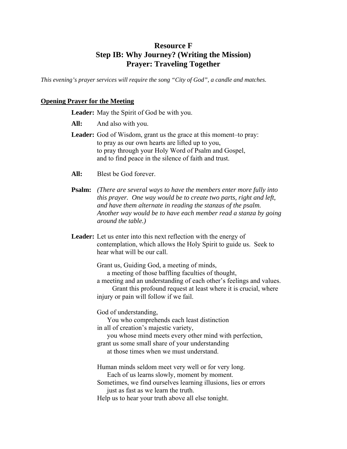# **Resource F Step IB: Why Journey? (Writing the Mission) Prayer: Traveling Together**

*This evening's prayer services will require the song "City of God", a candle and matches.* 

## **Opening Prayer for the Meeting**

**Leader:** May the Spirit of God be with you.

- **All:** And also with you.
- **Leader:** God of Wisdom, grant us the grace at this moment–to pray: to pray as our own hearts are lifted up to you, to pray through your Holy Word of Psalm and Gospel, and to find peace in the silence of faith and trust.
- **All:** Blest be God forever.
- **Psalm:** *(There are several ways to have the members enter more fully into this prayer. One way would be to create two parts, right and left, and have them alternate in reading the stanzas of the psalm. Another way would be to have each member read a stanza by going around the table.)*
- **Leader:** Let us enter into this next reflection with the energy of contemplation, which allows the Holy Spirit to guide us. Seek to hear what will be our call.

Grant us, Guiding God, a meeting of minds, a meeting of those baffling faculties of thought, a meeting and an understanding of each other's feelings and values. Grant this profound request at least where it is crucial, where injury or pain will follow if we fail.

God of understanding,

 You who comprehends each least distinction in all of creation's majestic variety,

 you whose mind meets every other mind with perfection, grant us some small share of your understanding at those times when we must understand.

Human minds seldom meet very well or for very long. Each of us learns slowly, moment by moment.

Sometimes, we find ourselves learning illusions, lies or errors just as fast as we learn the truth.

Help us to hear your truth above all else tonight.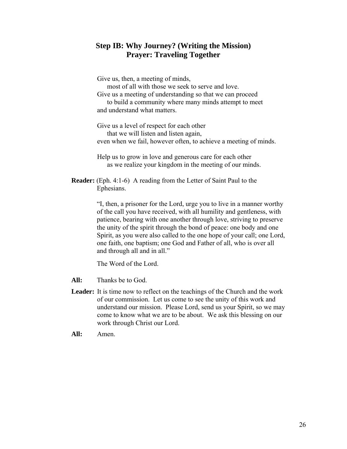## **Step IB: Why Journey? (Writing the Mission) Prayer: Traveling Together**

Give us, then, a meeting of minds, most of all with those we seek to serve and love. Give us a meeting of understanding so that we can proceed to build a community where many minds attempt to meet and understand what matters.

Give us a level of respect for each other that we will listen and listen again, even when we fail, however often, to achieve a meeting of minds.

Help us to grow in love and generous care for each other as we realize your kingdom in the meeting of our minds.

**Reader:** (Eph. 4:1-6) A reading from the Letter of Saint Paul to the Ephesians.

> "I, then, a prisoner for the Lord, urge you to live in a manner worthy of the call you have received, with all humility and gentleness, with patience, bearing with one another through love, striving to preserve the unity of the spirit through the bond of peace: one body and one Spirit, as you were also called to the one hope of your call; one Lord, one faith, one baptism; one God and Father of all, who is over all and through all and in all."

The Word of the Lord.

**All:** Thanks be to God.

- **Leader:** It is time now to reflect on the teachings of the Church and the work of our commission. Let us come to see the unity of this work and understand our mission. Please Lord, send us your Spirit, so we may come to know what we are to be about. We ask this blessing on our work through Christ our Lord.
- **All:** Amen.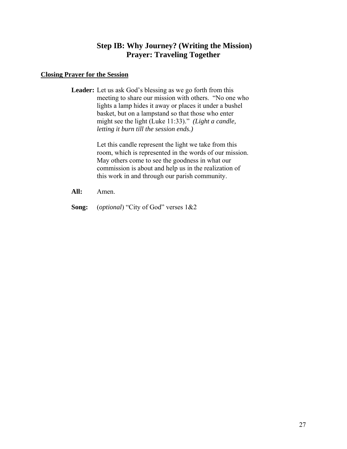# **Step IB: Why Journey? (Writing the Mission) Prayer: Traveling Together**

#### **Closing Prayer for the Session**

**Leader:** Let us ask God's blessing as we go forth from this meeting to share our mission with others. "No one who lights a lamp hides it away or places it under a bushel basket, but on a lampstand so that those who enter might see the light (Luke 11:33)." *(Light a candle, letting it burn till the session ends.)* 

> Let this candle represent the light we take from this room, which is represented in the words of our mission. May others come to see the goodness in what our commission is about and help us in the realization of this work in and through our parish community.

- **All:** Amen.
- **Song:** (*optional*) "City of God" verses 1&2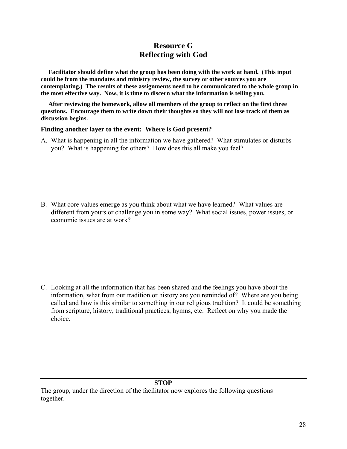# **Resource G Reflecting with God**

**Facilitator should define what the group has been doing with the work at hand. (This input could be from the mandates and ministry review, the survey or other sources you are contemplating.) The results of these assignments need to be communicated to the whole group in the most effective way. Now, it is time to discern what the information is telling you.** 

**After reviewing the homework, allow all members of the group to reflect on the first three questions. Encourage them to write down their thoughts so they will not lose track of them as discussion begins.** 

#### **Finding another layer to the event: Where is God present?**

A. What is happening in all the information we have gathered? What stimulates or disturbs you? What is happening for others? How does this all make you feel?

B. What core values emerge as you think about what we have learned? What values are different from yours or challenge you in some way? What social issues, power issues, or economic issues are at work?

C. Looking at all the information that has been shared and the feelings you have about the information, what from our tradition or history are you reminded of? Where are you being called and how is this similar to something in our religious tradition? It could be something from scripture, history, traditional practices, hymns, etc. Reflect on why you made the choice.

#### **STOP**

The group, under the direction of the facilitator now explores the following questions together.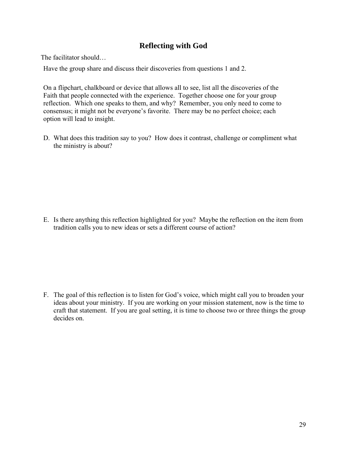# **Reflecting with God**

The facilitator should…

Have the group share and discuss their discoveries from questions 1 and 2.

On a flipchart, chalkboard or device that allows all to see, list all the discoveries of the Faith that people connected with the experience. Together choose one for your group reflection. Which one speaks to them, and why? Remember, you only need to come to consensus; it might not be everyone's favorite. There may be no perfect choice; each option will lead to insight.

D. What does this tradition say to you? How does it contrast, challenge or compliment what the ministry is about?

E. Is there anything this reflection highlighted for you? Maybe the reflection on the item from tradition calls you to new ideas or sets a different course of action?

F. The goal of this reflection is to listen for God's voice, which might call you to broaden your ideas about your ministry. If you are working on your mission statement, now is the time to craft that statement. If you are goal setting, it is time to choose two or three things the group decides on.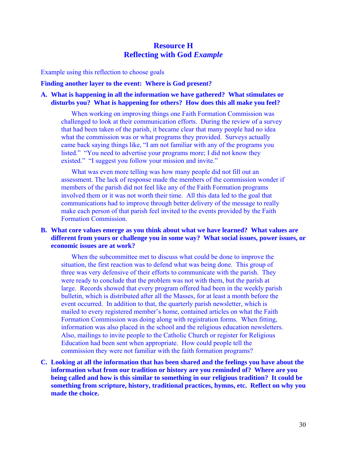# **Resource H Reflecting with God** *Example*

Example using this reflection to choose goals

#### **Finding another layer to the event: Where is God present?**

#### **A. What is happening in all the information we have gathered? What stimulates or disturbs you? What is happening for others? How does this all make you feel?**

When working on improving things one Faith Formation Commission was challenged to look at their communication efforts. During the review of a survey that had been taken of the parish, it became clear that many people had no idea what the commission was or what programs they provided. Surveys actually came back saying things like, "I am not familiar with any of the programs you listed." "You need to advertise your programs more; I did not know they existed." "I suggest you follow your mission and invite."

What was even more telling was how many people did not fill out an assessment. The lack of response made the members of the commission wonder if members of the parish did not feel like any of the Faith Formation programs involved them or it was not worth their time. All this data led to the goal that communications had to improve through better delivery of the message to really make each person of that parish feel invited to the events provided by the Faith Formation Commission.

#### **B. What core values emerge as you think about what we have learned? What values are different from yours or challenge you in some way? What social issues, power issues, or economic issues are at work?**

When the subcommittee met to discuss what could be done to improve the situation, the first reaction was to defend what was being done. This group of three was very defensive of their efforts to communicate with the parish. They were ready to conclude that the problem was not with them, but the parish at large. Records showed that every program offered had been in the weekly parish bulletin, which is distributed after all the Masses, for at least a month before the event occurred. In addition to that, the quarterly parish newsletter, which is mailed to every registered member's home, contained articles on what the Faith Formation Commission was doing along with registration forms. When fitting, information was also placed in the school and the religious education newsletters. Also, mailings to invite people to the Catholic Church or register for Religious Education had been sent when appropriate. How could people tell the commission they were not familiar with the faith formation programs?

**C. Looking at all the information that has been shared and the feelings you have about the information what from our tradition or history are you reminded of? Where are you being called and how is this similar to something in our religious tradition? It could be something from scripture, history, traditional practices, hymns, etc. Reflect on why you made the choice.**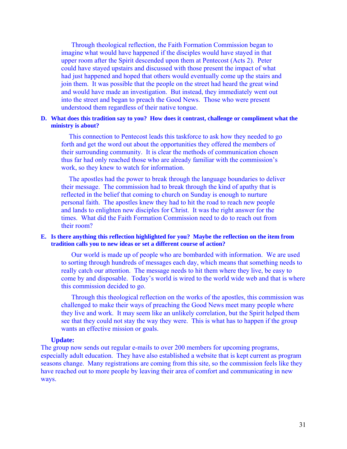Through theological reflection, the Faith Formation Commission began to imagine what would have happened if the disciples would have stayed in that upper room after the Spirit descended upon them at Pentecost (Acts 2). Peter could have stayed upstairs and discussed with those present the impact of what had just happened and hoped that others would eventually come up the stairs and join them. It was possible that the people on the street had heard the great wind and would have made an investigation. But instead, they immediately went out into the street and began to preach the Good News. Those who were present understood them regardless of their native tongue.

#### **D. What does this tradition say to you? How does it contrast, challenge or compliment what the ministry is about?**

This connection to Pentecost leads this taskforce to ask how they needed to go forth and get the word out about the opportunities they offered the members of their surrounding community. It is clear the methods of communication chosen thus far had only reached those who are already familiar with the commission's work, so they knew to watch for information.

The apostles had the power to break through the language boundaries to deliver their message. The commission had to break through the kind of apathy that is reflected in the belief that coming to church on Sunday is enough to nurture personal faith. The apostles knew they had to hit the road to reach new people and lands to enlighten new disciples for Christ. It was the right answer for the times. What did the Faith Formation Commission need to do to reach out from their room?

#### **E. Is there anything this reflection highlighted for you? Maybe the reflection on the item from tradition calls you to new ideas or set a different course of action?**

Our world is made up of people who are bombarded with information. We are used to sorting through hundreds of messages each day, which means that something needs to really catch our attention. The message needs to hit them where they live, be easy to come by and disposable. Today's world is wired to the world wide web and that is where this commission decided to go.

Through this theological reflection on the works of the apostles, this commission was challenged to make their ways of preaching the Good News meet many people where they live and work. It may seem like an unlikely correlation, but the Spirit helped them see that they could not stay the way they were. This is what has to happen if the group wants an effective mission or goals.

#### **Update:**

The group now sends out regular e-mails to over 200 members for upcoming programs, especially adult education. They have also established a website that is kept current as program seasons change. Many registrations are coming from this site, so the commission feels like they have reached out to more people by leaving their area of comfort and communicating in new ways.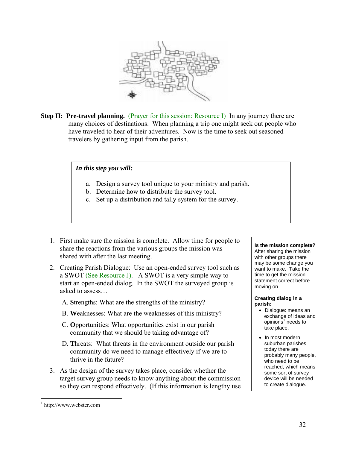

**Step II: Pre-travel planning.** (Prayer for this session: Resource I) In any journey there are many choices of destinations. When planning a trip one might seek out people who have traveled to hear of their adventures. Now is the time to seek out seasoned travelers by gathering input from the parish.

#### *In this step you will:*

- a. Design a survey tool unique to your ministry and parish.
- b. Determine how to distribute the survey tool.
- c. Set up a distribution and tally system for the survey.
- 1. First make sure the mission is complete. Allow time for people to share the reactions from the various groups the mission was shared with after the last meeting.
- 2. Creating Parish Dialogue: Use an open-ended survey tool such as a SWOT (See Resource J). A SWOT is a very simple way to start an open-ended dialog. In the SWOT the surveyed group is asked to assess…
	- A. **S**trengths: What are the strengths of the ministry?
	- B. **W**eaknesses: What are the weaknesses of this ministry?
	- C. **O**pportunities: What opportunities exist in our parish community that we should be taking advantage of?
	- D. **T**hreats: What threats in the environment outside our parish community do we need to manage effectively if we are to thrive in the future?
- 3. As the design of the survey takes place, consider whether the target survey group needs to know anything about the commission so they can respond effectively. (If this information is lengthy use

#### **Is the mission complete?**

After sharing the mission with other groups there may be some change you want to make. Take the time to get the mission statement correct before moving on.

#### **Creating dialog in a parish:**

- Dialogue: means an exchange of ideas and opinions<sup>1</sup> needs to take place.
- In most modern suburban parishes today there are probably many people, who need to be reached, which means some sort of survey device will be needed to create dialogue.

 $\overline{a}$ 

<sup>1</sup> http://www.webster.com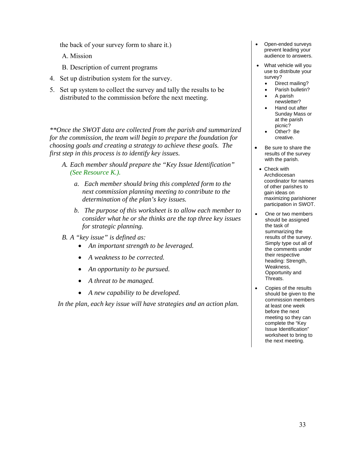the back of your survey form to share it.)

A. Mission

- B. Description of current programs
- 4. Set up distribution system for the survey.
- 5. Set up system to collect the survey and tally the results to be distributed to the commission before the next meeting.

*\*\*Once the SWOT data are collected from the parish and summarized for the commission, the team will begin to prepare the foundation for choosing goals and creating a strategy to achieve these goals. The first step in this process is to identify key issues.* 

- *A. Each member should prepare the "Key Issue Identification" (See Resource K.).*
	- *a. Each member should bring this completed form to the next commission planning meeting to contribute to the determination of the plan's key issues.*
	- *b. The purpose of this worksheet is to allow each member to consider what he or she thinks are the top three key issues for strategic planning.*
- *B. A "key issue" is defined as:* 
	- *An important strength to be leveraged.*
	- *A weakness to be corrected.*
	- *An opportunity to be pursued.*
	- *A threat to be managed.*
	- *A new capability to be developed.*

*In the plan, each key issue will have strategies and an action plan.*

- Open-ended surveys prevent leading your audience to answers.
- What vehicle will you use to distribute your survey?
	- Direct mailing?
	- Parish bulletin?
	- A parish newsletter?
	- Hand out after Sunday Mass or at the parish picnic?
	- Other? Be creative.
- Be sure to share the results of the survey with the parish.
- Check with Archdiocesan coordinator for names of other parishes to gain ideas on maximizing parishioner participation in SWOT.
- One or two members should be assigned the task of summarizing the results of the survey. Simply type out all of the comments under their respective heading: Strength, Weakness, Opportunity and Threats.
- Copies of the results should be given to the commission members at least one week before the next meeting so they can complete the "Key Issue Identification" worksheet to bring to the next meeting.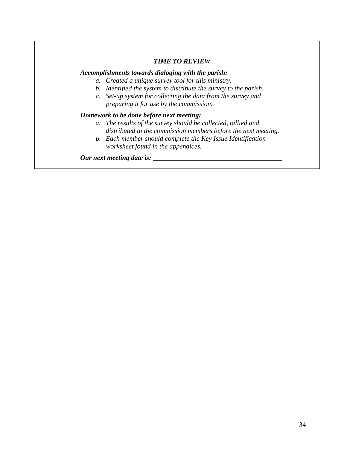#### *TIME TO REVIEW*

#### *Accomplishments towards dialoging with the parish:*

- *a. Created a unique survey tool for this ministry.*
- *b. Identified the system to distribute the survey to the parish.*
- *c. Set-up system for collecting the data from the survey and preparing it for use by the commission.*

#### *Homework to be done before next meeting:*

- *a. The results of the survey should be collected, tallied and distributed to the commission members before the next meeting.*
- *b. Each member should complete the Key Issue Identification worksheet found in the appendices.*

*Our next meeting date is: \_\_\_\_\_\_\_\_\_\_\_\_\_\_\_\_\_\_\_\_\_\_\_\_\_\_\_\_\_\_\_\_\_\_\_\_\_\_*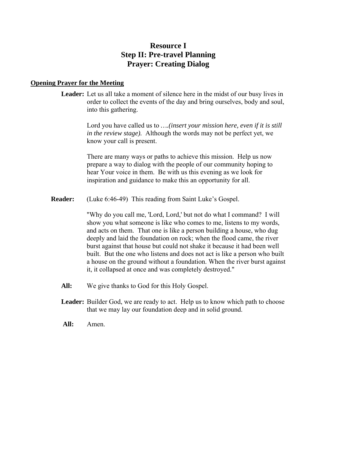# **Resource I Step II: Pre-travel Planning Prayer: Creating Dialog**

#### **Opening Prayer for the Meeting**

**Leader:** Let us all take a moment of silence here in the midst of our busy lives in order to collect the events of the day and bring ourselves, body and soul, into this gathering.

> Lord you have called us to *….(insert your mission here, even if it is still in the review stage).* Although the words may not be perfect yet, we know your call is present.

 There are many ways or paths to achieve this mission. Help us now prepare a way to dialog with the people of our community hoping to hear Your voice in them. Be with us this evening as we look for inspiration and guidance to make this an opportunity for all.

**Reader:** (Luke 6:46-49) This reading from Saint Luke's Gospel.

"Why do you call me, 'Lord, Lord,' but not do what I command? I will show you what someone is like who comes to me, listens to my words, and acts on them. That one is like a person building a house, who dug deeply and laid the foundation on rock; when the flood came, the river burst against that house but could not shake it because it had been well built. But the one who listens and does not act is like a person who built a house on the ground without a foundation. When the river burst against it, it collapsed at once and was completely destroyed."

- **All:** We give thanks to God for this Holy Gospel.
- **Leader:** Builder God, we are ready to act. Help us to know which path to choose that we may lay our foundation deep and in solid ground.
- **All:** Amen.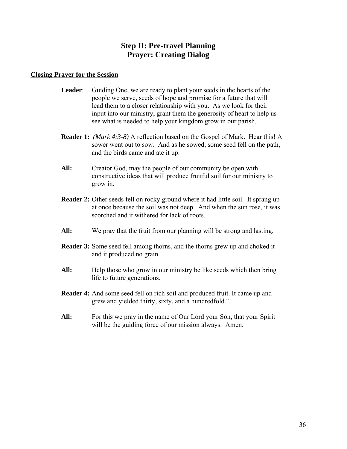# **Step II: Pre-travel Planning Prayer: Creating Dialog**

#### **Closing Prayer for the Session**

- **Leader**: Guiding One, we are ready to plant your seeds in the hearts of the people we serve, seeds of hope and promise for a future that will lead them to a closer relationship with you. As we look for their input into our ministry, grant them the generosity of heart to help us see what is needed to help your kingdom grow in our parish.
- **Reader 1:** *(Mark 4:3-8)* A reflection based on the Gospel of Mark. Hear this! A sower went out to sow. And as he sowed, some seed fell on the path, and the birds came and ate it up.
- All: Creator God, may the people of our community be open with constructive ideas that will produce fruitful soil for our ministry to grow in.
- **Reader 2:** Other seeds fell on rocky ground where it had little soil. It sprang up at once because the soil was not deep. And when the sun rose, it was scorched and it withered for lack of roots.
- All: We pray that the fruit from our planning will be strong and lasting.
- **Reader 3:** Some seed fell among thorns, and the thorns grew up and choked it and it produced no grain.
- All: Help those who grow in our ministry be like seeds which then bring life to future generations.
- **Reader 4:** And some seed fell on rich soil and produced fruit. It came up and grew and yielded thirty, sixty, and a hundredfold."
- All: For this we pray in the name of Our Lord your Son, that your Spirit will be the guiding force of our mission always. Amen.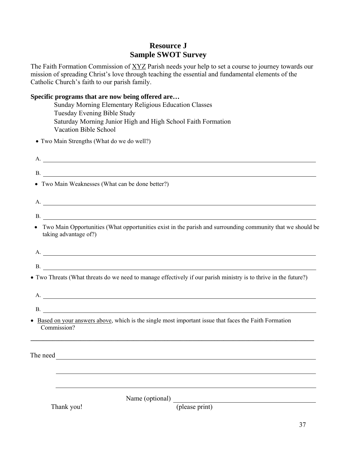# **Resource J Sample SWOT Survey**

The Faith Formation Commission of XYZ Parish needs your help to set a course to journey towards our mission of spreading Christ's love through teaching the essential and fundamental elements of the Catholic Church's faith to our parish family.

#### **Specific programs that are now being offered are…**

Sunday Morning Elementary Religious Education Classes Tuesday Evening Bible Study Saturday Morning Junior High and High School Faith Formation Vacation Bible School

Two Main Strengths (What do we do well?)

| A. |                                                                                                                                                                                                                                      |  |
|----|--------------------------------------------------------------------------------------------------------------------------------------------------------------------------------------------------------------------------------------|--|
|    | B.                                                                                                                                                                                                                                   |  |
|    | • Two Main Weaknesses (What can be done better?)                                                                                                                                                                                     |  |
|    | A.                                                                                                                                                                                                                                   |  |
|    | B.                                                                                                                                                                                                                                   |  |
|    | Two Main Opportunities (What opportunities exist in the parish and surrounding community that we should be<br>taking advantage of?)                                                                                                  |  |
|    | A.                                                                                                                                                                                                                                   |  |
|    |                                                                                                                                                                                                                                      |  |
|    | • Two Threats (What threats do we need to manage effectively if our parish ministry is to thrive in the future?)                                                                                                                     |  |
|    | A.                                                                                                                                                                                                                                   |  |
|    | B.                                                                                                                                                                                                                                   |  |
|    | • Based on your answers above, which is the single most important issue that faces the Faith Formation<br>Commission?                                                                                                                |  |
|    | The need <u>second the second second second second second second second second second second second second second second second second second second second second second second second second second second second second secon</u> |  |
|    |                                                                                                                                                                                                                                      |  |
|    | Name (optional)<br>(please print)<br>Thank you!                                                                                                                                                                                      |  |
|    | 37                                                                                                                                                                                                                                   |  |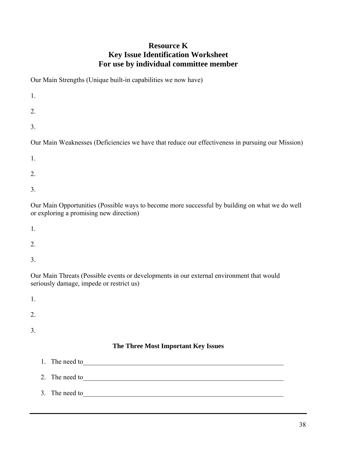# **Resource K Key Issue Identification Worksheet For use by individual committee member**

Our Main Strengths (Unique built-in capabilities we now have)

| 1.                                                                                                                                                                                                                                                                   |
|----------------------------------------------------------------------------------------------------------------------------------------------------------------------------------------------------------------------------------------------------------------------|
| 2.                                                                                                                                                                                                                                                                   |
| 3.                                                                                                                                                                                                                                                                   |
| Our Main Weaknesses (Deficiencies we have that reduce our effectiveness in pursuing our Mission)                                                                                                                                                                     |
| 1.                                                                                                                                                                                                                                                                   |
| 2.                                                                                                                                                                                                                                                                   |
| 3.                                                                                                                                                                                                                                                                   |
| Our Main Opportunities (Possible ways to become more successful by building on what we do well<br>$\alpha$ $\alpha$ $\alpha$ $\beta$ $\beta$ $\beta$ $\beta$ $\gamma$ $\alpha$ $\beta$ $\gamma$ $\alpha$ $\beta$ $\gamma$ $\beta$ $\gamma$ $\alpha$ $\beta$ $\gamma$ |

or exploring a promising new direction)

- 1.
- 2.
- 3.

Our Main Threats (Possible events or developments in our external environment that would seriously damage, impede or restrict us)

| 1. |                |                                     |
|----|----------------|-------------------------------------|
| 2. |                |                                     |
| 3. |                |                                     |
|    |                | The Three Most Important Key Issues |
|    | 1. The need to |                                     |
|    | 2. The need to |                                     |
|    | 3. The need to |                                     |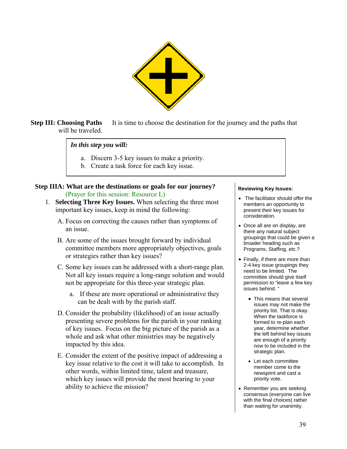

**Step III: Choosing Paths** It is time to choose the destination for the journey and the paths that will be traveled.

*In this step you will:* 

- a. Discern 3-5 key issues to make a priority.
- b. Create a task force for each key issue.

**Step IIIA: What are the destinations or goals for our journey?**  (Prayer for this session: Resource L)

- 1. **Selecting Three Key Issues.** When selecting the three most important key issues, keep in mind the following:
	- A. Focus on correcting the causes rather than symptoms of an issue.
	- B. Are some of the issues brought forward by individual committee members more appropriately objectives, goals or strategies rather than key issues?
	- C. Some key issues can be addressed with a short-range plan. Not all key issues require a long-range solution and would not be appropriate for this three-year strategic plan.
		- a. If these are more operational or administrative they can be dealt with by the parish staff.
	- D. Consider the probability (likelihood) of an issue actually presenting severe problems for the parish in your ranking of key issues. Focus on the big picture of the parish as a whole and ask what other ministries may be negatively impacted by this idea.
	- E. Consider the extent of the positive impact of addressing a key issue relative to the cost it will take to accomplish. In other words, within limited time, talent and treasure, which key issues will provide the most bearing to your ability to achieve the mission?

#### **Reviewing Key Issues:**

- The facilitator should offer the members an opportunity to present their key issues for consideration.
- Once all are on display, are there any natural subject groupings that could be given a broader heading such as Programs, Staffing, etc.?
- Finally, if there are more than 2-4 key issue groupings they need to be limited. The committee should give itself permission to "leave a few key issues behind. "
	- This means that several issues may not make the priority list. That is okay. When the taskforce is formed to re-plan each year, determine whether the left behind key issues are enough of a priority now to be included in the strategic plan.
	- Let each committee member come to the newsprint and cast a priority vote.
- Remember you are seeking consensus (everyone can live with the final choices) rather than waiting for unanimity.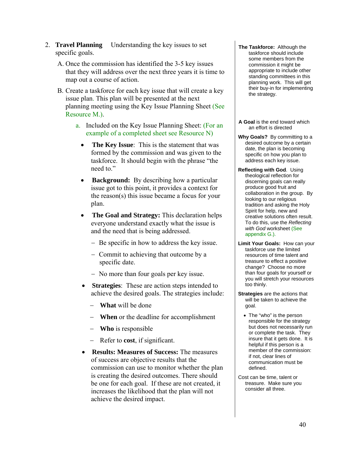- 2. **Travel Planning** Understanding the key issues to set specific goals.
	- A. Once the commission has identified the 3-5 key issues that they will address over the next three years it is time to map out a course of action.
	- B. Create a taskforce for each key issue that will create a key issue plan. This plan will be presented at the next planning meeting using the Key Issue Planning Sheet (See Resource M.).
		- a. Included on the Key Issue Planning Sheet: (For an example of a completed sheet see Resource N)
			- **The Key Issue**: This is the statement that was formed by the commission and was given to the taskforce. It should begin with the phrase "the need to."
			- **Background:** By describing how a particular issue got to this point, it provides a context for the reason(s) this issue became a focus for your plan.
			- The Goal and Strategy: This declaration helps everyone understand exactly what the issue is and the need that is being addressed.
				- Be specific in how to address the key issue.
				- Commit to achieving that outcome by a specific date.
				- No more than four goals per key issue.
			- **Strategies**: These are action steps intended to achieve the desired goals. The strategies include:
				- **What** will be done
				- **When** or the deadline for accomplishment
				- **Who** is responsible
				- Refer to **cost**, if significant.
			- **Results: Measures of Success:** The measures of success are objective results that the commission can use to monitor whether the plan is creating the desired outcomes. There should be one for each goal. If these are not created, it increases the likelihood that the plan will not achieve the desired impact.
- **The Taskforce:** Although the taskforce should include some members from the commission it might be appropriate to include other standing committees in this planning work. This will get their buy-in for implementing the strategy.
- **A Goal** is the end toward which an effort is directed
- **Why Goals?** By committing to a desired outcome by a certain date, the plan is becoming specific on how you plan to address each key issue.
- **Reflecting with God**. Using theological reflection for discerning goals can really produce good fruit and collaboration in the group. By looking to our religious tradition and asking the Holy Spirit for help, new and creative solutions often result. To do this, use the *Reflecting with God* worksheet (See appendix G.).
- **Limit Your Goals:** How can your taskforce use the limited resources of time talent and treasure to effect a positive change? Choose no more than four goals for yourself or you will stretch your resources too thinly.
- **Strategies** are the actions that will be taken to achieve the goal.
	- The "who" is the person responsible for the strategy but does not necessarily run or complete the task. They insure that it gets done. It is helpful if this person is a member of the commission: if not, clear lines of communication must be defined.
- Cost can be time, talent or treasure. Make sure you consider all three.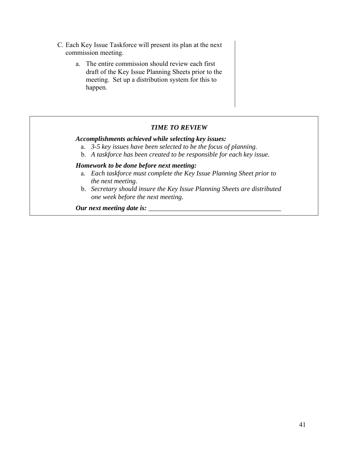- C. Each Key Issue Taskforce will present its plan at the next commission meeting.
	- a. The entire commission should review each first draft of the Key Issue Planning Sheets prior to the meeting. Set up a distribution system for this to happen.

## *TIME TO REVIEW*

#### *Accomplishments achieved while selecting key issues:*

- a. *3-5 key issues have been selected to be the focus of planning.*
- b. *A taskforce has been created to be responsible for each key issue.*

#### *Homework to be done before next meeting:*

- a. *Each taskforce must complete the Key Issue Planning Sheet prior to the next meeting.*
- b. *Secretary should insure the Key Issue Planning Sheets are distributed one week before the next meeting.*

*Our next meeting date is: \_\_\_\_\_\_\_\_\_\_\_\_\_\_\_\_\_\_\_\_\_\_\_\_\_\_\_\_\_\_\_\_\_\_\_\_\_\_\_*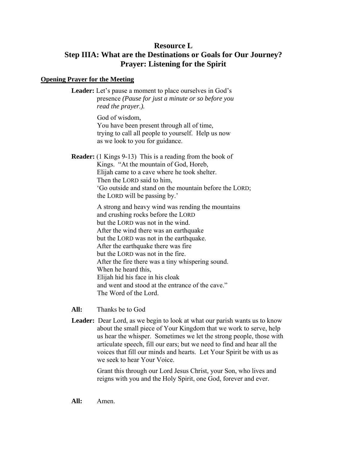## **Resource L**

# **Step IIIA: What are the Destinations or Goals for Our Journey? Prayer: Listening for the Spirit**

#### **Opening Prayer for the Meeting**

**Leader:** Let's pause a moment to place ourselves in God's presence *(Pause for just a minute or so before you read the prayer.).* 

> God of wisdom, You have been present through all of time, trying to call all people to yourself. Help us now as we look to you for guidance.

**Reader:** (1 Kings 9-13) This is a reading from the book of Kings. "At the mountain of God, Horeb, Elijah came to a cave where he took shelter. Then the LORD said to him, 'Go outside and stand on the mountain before the LORD; the LORD will be passing by.'

> A strong and heavy wind was rending the mountains and crushing rocks before the LORD but the LORD was not in the wind. After the wind there was an earthquake but the LORD was not in the earthquake. After the earthquake there was fire but the LORD was not in the fire. After the fire there was a tiny whispering sound. When he heard this, Elijah hid his face in his cloak and went and stood at the entrance of the cave." The Word of the Lord.

**All:** Thanks be to God

**Leader:** Dear Lord, as we begin to look at what our parish wants us to know about the small piece of Your Kingdom that we work to serve, help us hear the whisper. Sometimes we let the strong people, those with articulate speech, fill our ears; but we need to find and hear all the voices that fill our minds and hearts. Let Your Spirit be with us as we seek to hear Your Voice.

> Grant this through our Lord Jesus Christ, your Son, who lives and reigns with you and the Holy Spirit, one God, forever and ever.

**All:** Amen.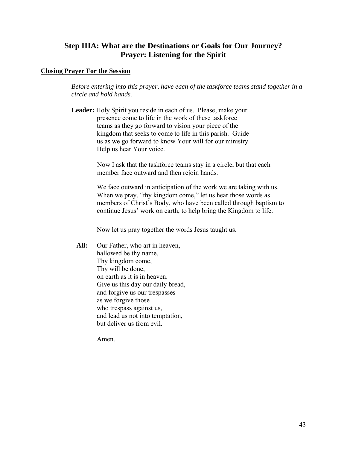# **Step IIIA: What are the Destinations or Goals for Our Journey? Prayer: Listening for the Spirit**

#### **Closing Prayer For the Session**

*Before entering into this prayer, have each of the taskforce teams stand together in a circle and hold hands.* 

**Leader:** Holy Spirit you reside in each of us. Please, make your presence come to life in the work of these taskforce teams as they go forward to vision your piece of the kingdom that seeks to come to life in this parish. Guide us as we go forward to know Your will for our ministry. Help us hear Your voice.

> Now I ask that the taskforce teams stay in a circle, but that each member face outward and then rejoin hands.

We face outward in anticipation of the work we are taking with us. When we pray, "thy kingdom come," let us hear those words as members of Christ's Body, who have been called through baptism to continue Jesus' work on earth, to help bring the Kingdom to life.

Now let us pray together the words Jesus taught us.

All: Our Father, who art in heaven, hallowed be thy name, Thy kingdom come, Thy will be done, on earth as it is in heaven. Give us this day our daily bread, and forgive us our trespasses as we forgive those who trespass against us, and lead us not into temptation, but deliver us from evil.

Amen.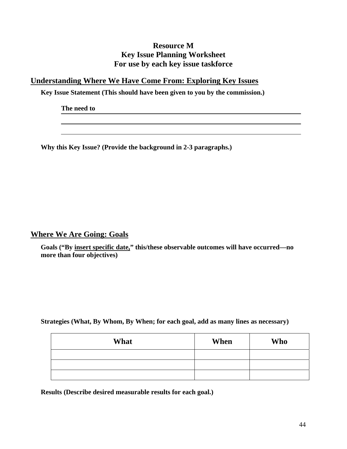# **Resource M Key Issue Planning Worksheet For use by each key issue taskforce**

# **Understanding Where We Have Come From: Exploring Key Issues**

**Key Issue Statement (This should have been given to you by the commission.)** 

**The need to** 

**Why this Key Issue? (Provide the background in 2-3 paragraphs.)** 

**Where We Are Going: Goals**

**Goals ("By insert specific date," this/these observable outcomes will have occurred—no more than four objectives)** 

**Strategies (What, By Whom, By When; for each goal, add as many lines as necessary)** 

| What | When | <b>Who</b> |
|------|------|------------|
|      |      |            |
|      |      |            |
|      |      |            |

**Results (Describe desired measurable results for each goal.)**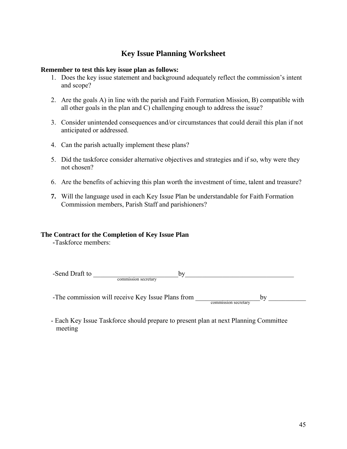# **Key Issue Planning Worksheet**

#### **Remember to test this key issue plan as follows:**

- 1. Does the key issue statement and background adequately reflect the commission's intent and scope?
- 2. Are the goals A) in line with the parish and Faith Formation Mission, B) compatible with all other goals in the plan and C) challenging enough to address the issue?
- 3. Consider unintended consequences and/or circumstances that could derail this plan if not anticipated or addressed.
- 4. Can the parish actually implement these plans?
- 5. Did the taskforce consider alternative objectives and strategies and if so, why were they not chosen?
- 6. Are the benefits of achieving this plan worth the investment of time, talent and treasure?
- **7.** Will the language used in each Key Issue Plan be understandable for Faith Formation Commission members, Parish Staff and parishioners?

## **The Contract for the Completion of Key Issue Plan**

**-**Taskforce members:

-Send Draft to \_\_\_\_\_\_\_\_\_\_\_\_\_\_\_\_\_\_\_\_\_\_\_\_\_by\_\_\_\_\_\_\_\_\_\_\_\_\_\_\_\_\_\_\_\_\_\_\_\_\_\_\_\_\_\_\_\_ commission secretary

-The commission will receive Key Issue Plans from \_\_\_\_\_\_\_\_\_\_\_\_\_\_\_\_\_\_\_by \_\_\_\_\_\_\_\_\_\_\_ commission secretary

- Each Key Issue Taskforce should prepare to present plan at next Planning Committee meeting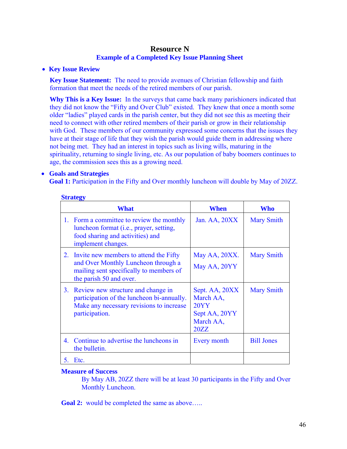## **Resource N Example of a Completed Key Issue Planning Sheet**

## **Key Issue Review**

**Key Issue Statement:** The need to provide avenues of Christian fellowship and faith formation that meet the needs of the retired members of our parish.

**Why This is a Key Issue:** In the surveys that came back many parishioners indicated that they did not know the "Fifty and Over Club" existed. They knew that once a month some older "ladies" played cards in the parish center, but they did not see this as meeting their need to connect with other retired members of their parish or grow in their relationship with God. These members of our community expressed some concerns that the issues they have at their stage of life that they wish the parish would guide them in addressing where not being met. They had an interest in topics such as living wills, maturing in the spirituality, returning to single living, etc. As our population of baby boomers continues to age, the commission sees this as a growing need.

## **Goals and Strategies**

Goal 1: Participation in the Fifty and Over monthly luncheon will double by May of 20ZZ.

|    | What                                                                                                                                                | When                                                                      | Who               |
|----|-----------------------------------------------------------------------------------------------------------------------------------------------------|---------------------------------------------------------------------------|-------------------|
|    | 1. Form a committee to review the monthly<br>luncheon format (i.e., prayer, setting,<br>food sharing and activities) and<br>implement changes.      | Jan. AA, 20XX                                                             | <b>Mary Smith</b> |
| 2. | Invite new members to attend the Fifty<br>and Over Monthly Luncheon through a<br>mailing sent specifically to members of<br>the parish 50 and over. | May AA, 20XX.<br>May AA, 20YY                                             | <b>Mary Smith</b> |
| 3. | Review new structure and change in<br>participation of the luncheon bi-annually.<br>Make any necessary revisions to increase<br>participation.      | Sept. AA, 20XX<br>March AA,<br>20YY<br>Sept AA, 20YY<br>March AA,<br>20ZZ | <b>Mary Smith</b> |
| 4. | Continue to advertise the luncheons in<br>the bulletin.                                                                                             | Every month                                                               | <b>Bill Jones</b> |
| 5. | Etc.                                                                                                                                                |                                                                           |                   |

#### **Strategy**

## **Measure of Success**

By May AB, 20ZZ there will be at least 30 participants in the Fifty and Over Monthly Luncheon.

**Goal 2:** would be completed the same as above.....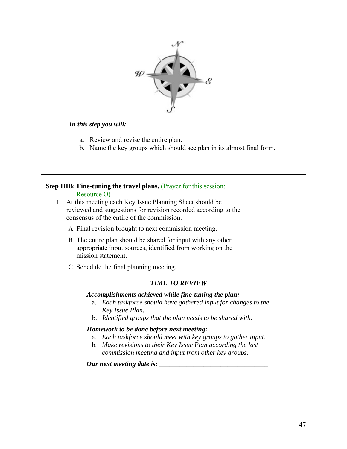

#### *In this step you will:*

- a. Review and revise the entire plan.
- b. Name the key groups which should see plan in its almost final form.

# **Step IIIB: Fine-tuning the travel plans.** (Prayer for this session:

#### Resource O)

- 1. At this meeting each Key Issue Planning Sheet should be reviewed and suggestions for revision recorded according to the consensus of the entire of the commission.
	- A. Final revision brought to next commission meeting.
	- B. The entire plan should be shared for input with any other appropriate input sources, identified from working on the mission statement.
	- C. Schedule the final planning meeting.

## *TIME TO REVIEW*

## *Accomplishments achieved while fine-tuning the plan:*

- a. *Each taskforce should have gathered input for changes to the Key Issue Plan.*
- b. *Identified groups that the plan needs to be shared with.*

## *Homework to be done before next meeting:*

- a. *Each taskforce should meet with key groups to gather input.*
- b. *Make revisions to their Key Issue Plan according the last commission meeting and input from other key groups.*

*Our next meeting date is: \_\_\_\_\_\_\_\_\_\_\_\_\_\_\_\_\_\_\_\_\_\_\_\_\_\_\_\_\_\_\_\_*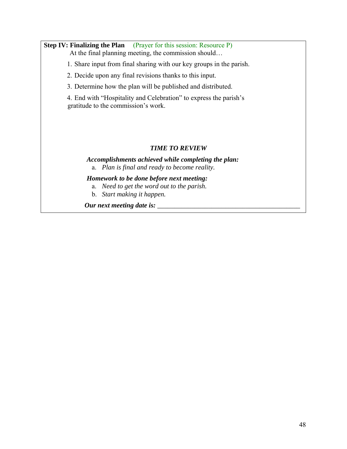# **Step IV: Finalizing the Plan** (Prayer for this session: Resource P)

At the final planning meeting, the commission should…

1. Share input from final sharing with our key groups in the parish.

2. Decide upon any final revisions thanks to this input.

3. Determine how the plan will be published and distributed.

4. End with "Hospitality and Celebration" to express the parish's gratitude to the commission's work.

## *TIME TO REVIEW*

## *Accomplishments achieved while completing the plan:*  a. *Plan is final and ready to become reality.*

*Homework to be done before next meeting:* 

- a. *Need to get the word out to the parish.*
- b. *Start making it happen.*

*Our next meeting date is:*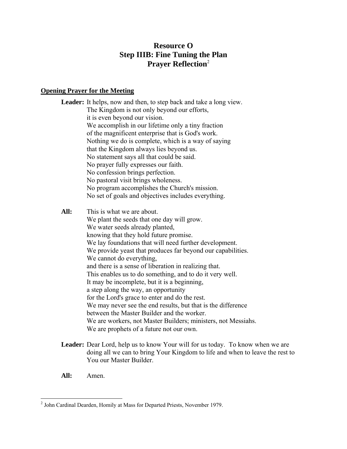# **Resource O Step IIIB: Fine Tuning the Plan Prayer Reflection**<sup>2</sup>

## **Opening Prayer for the Meeting**

Leader: It helps, now and then, to step back and take a long view. The Kingdom is not only beyond our efforts, it is even beyond our vision. We accomplish in our lifetime only a tiny fraction of the magnificent enterprise that is God's work. Nothing we do is complete, which is a way of saying that the Kingdom always lies beyond us. No statement says all that could be said. No prayer fully expresses our faith. No confession brings perfection. No pastoral visit brings wholeness. No program accomplishes the Church's mission. No set of goals and objectives includes everything. **All:** This is what we are about. We plant the seeds that one day will grow. We water seeds already planted, knowing that they hold future promise. We lay foundations that will need further development. We provide yeast that produces far beyond our capabilities. We cannot do everything, and there is a sense of liberation in realizing that. This enables us to do something, and to do it very well. It may be incomplete, but it is a beginning, a step along the way, an opportunity for the Lord's grace to enter and do the rest. We may never see the end results, but that is the difference between the Master Builder and the worker. We are workers, not Master Builders; ministers, not Messiahs.

We are prophets of a future not our own.

- **Leader:** Dear Lord, help us to know Your will for us today. To know when we are doing all we can to bring Your Kingdom to life and when to leave the rest to You our Master Builder.
- **All:** Amen.

 $\overline{a}$ 

<sup>&</sup>lt;sup>2</sup> John Cardinal Dearden, Homily at Mass for Departed Priests, November 1979.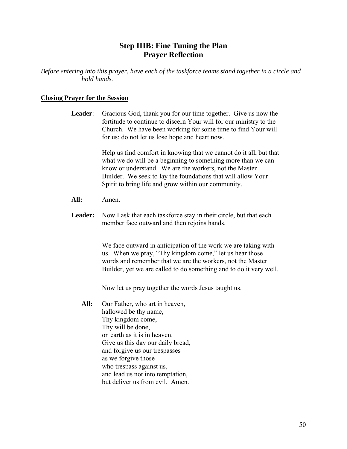# **Step IIIB: Fine Tuning the Plan Prayer Reflection**

*Before entering into this prayer, have each of the taskforce teams stand together in a circle and hold hands.* 

## **Closing Prayer for the Session**

| <b>Leader</b> : | Gracious God, thank you for our time together. Give us now the<br>fortitude to continue to discern Your will for our ministry to the<br>Church. We have been working for some time to find Your will<br>for us; do not let us lose hope and heart now.                                                              |
|-----------------|---------------------------------------------------------------------------------------------------------------------------------------------------------------------------------------------------------------------------------------------------------------------------------------------------------------------|
|                 | Help us find comfort in knowing that we cannot do it all, but that<br>what we do will be a beginning to something more than we can<br>know or understand. We are the workers, not the Master<br>Builder. We seek to lay the foundations that will allow Your<br>Spirit to bring life and grow within our community. |
| All:            | Amen.                                                                                                                                                                                                                                                                                                               |
| <b>Leader:</b>  | Now I ask that each taskforce stay in their circle, but that each<br>member face outward and then rejoins hands.                                                                                                                                                                                                    |
|                 | We face outward in anticipation of the work we are taking with<br>us. When we pray, "Thy kingdom come," let us hear those<br>words and remember that we are the workers, not the Master<br>Builder, yet we are called to do something and to do it very well.                                                       |
|                 | Now let us pray together the words Jesus taught us.                                                                                                                                                                                                                                                                 |
| All:            | Our Father, who art in heaven,<br>hallowed be thy name,<br>Thy kingdom come,<br>Thy will be done,                                                                                                                                                                                                                   |

on earth as it is in heaven.

as we forgive those who trespass against us,

Give us this day our daily bread, and forgive us our trespasses

and lead us not into temptation, but deliver us from evil. Amen.

50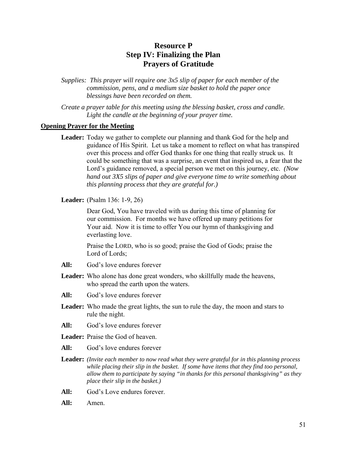# **Resource P Step IV: Finalizing the Plan Prayers of Gratitude**

*Supplies: This prayer will require one 3x5 slip of paper for each member of the commission, pens, and a medium size basket to hold the paper once blessings have been recorded on them.* 

*Create a prayer table for this meeting using the blessing basket, cross and candle. Light the candle at the beginning of your prayer time.* 

#### **Opening Prayer for the Meeting**

**Leader:** Today we gather to complete our planning and thank God for the help and guidance of His Spirit. Let us take a moment to reflect on what has transpired over this process and offer God thanks for one thing that really struck us. It could be something that was a surprise, an event that inspired us, a fear that the Lord's guidance removed, a special person we met on this journey, etc. *(Now hand out 3X5 slips of paper and give everyone time to write something about this planning process that they are grateful for.)* 

**Leader:** (Psalm 136: 1-9, 26)

Dear God, You have traveled with us during this time of planning for our commission. For months we have offered up many petitions for Your aid. Now it is time to offer You our hymn of thanksgiving and everlasting love.

Praise the LORD, who is so good; praise the God of Gods; praise the Lord of Lords;

- **All:** God's love endures forever
- **Leader:** Who alone has done great wonders, who skillfully made the heavens, who spread the earth upon the waters.
- **All:** God's love endures forever
- **Leader:** Who made the great lights, the sun to rule the day, the moon and stars to rule the night.
- **All:** God's love endures forever
- **Leader:** Praise the God of heaven.
- **All:** God's love endures forever
- **Leader:** *(Invite each member to now read what they were grateful for in this planning process while placing their slip in the basket. If some have items that they find too personal, allow them to participate by saying "in thanks for this personal thanksgiving" as they place their slip in the basket.)*
- All: God's Love endures forever.
- **All:** Amen.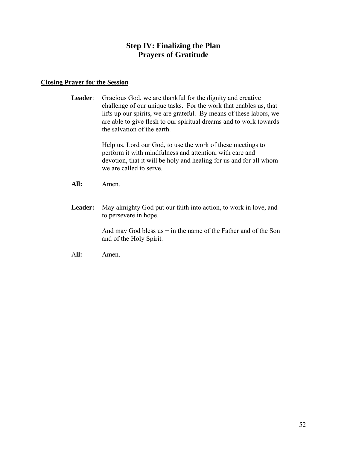# **Step IV: Finalizing the Plan Prayers of Gratitude**

#### **Closing Prayer for the Session**

Leader: Gracious God, we are thankful for the dignity and creative challenge of our unique tasks. For the work that enables us, that lifts up our spirits, we are grateful. By means of these labors, we are able to give flesh to our spiritual dreams and to work towards the salvation of the earth.

> Help us, Lord our God, to use the work of these meetings to perform it with mindfulness and attention, with care and devotion, that it will be holy and healing for us and for all whom we are called to serve.

- **All:** Amen.
- **Leader:** May almighty God put our faith into action, to work in love, and to persevere in hope.

And may God bless  $us + in$  the name of the Father and of the Son and of the Holy Spirit.

A**ll:** Amen.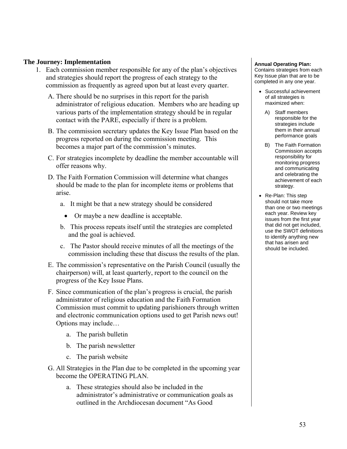#### **The Journey: Implementation**

- 1. Each commission member responsible for any of the plan's objectives and strategies should report the progress of each strategy to the commission as frequently as agreed upon but at least every quarter.
	- A. There should be no surprises in this report for the parish administrator of religious education. Members who are heading up various parts of the implementation strategy should be in regular contact with the PARE, especially if there is a problem.
	- B. The commission secretary updates the Key Issue Plan based on the progress reported on during the commission meeting. This becomes a major part of the commission's minutes.
	- C. For strategies incomplete by deadline the member accountable will offer reasons why.
	- D. The Faith Formation Commission will determine what changes should be made to the plan for incomplete items or problems that arise.
		- a. It might be that a new strategy should be considered
			- Or maybe a new deadline is acceptable.
		- b. This process repeats itself until the strategies are completed and the goal is achieved.
		- c. The Pastor should receive minutes of all the meetings of the commission including these that discuss the results of the plan.
	- E. The commission's representative on the Parish Council (usually the chairperson) will, at least quarterly, report to the council on the progress of the Key Issue Plans.
	- F. Since communication of the plan's progress is crucial, the parish administrator of religious education and the Faith Formation Commission must commit to updating parishioners through written and electronic communication options used to get Parish news out! Options may include…
		- a. The parish bulletin
		- b. The parish newsletter
		- c. The parish website
	- G. All Strategies in the Plan due to be completed in the upcoming year become the OPERATING PLAN.
		- a. These strategies should also be included in the administrator's administrative or communication goals as outlined in the Archdiocesan document "As Good

#### **Annual Operating Plan:**

Contains strategies from each Key Issue plan that are to be completed in any one year.

- Successful achievement of all strategies is maximized when:
	- A) Staff members responsible for the strategies include them in their annual performance goals
	- B) The Faith Formation Commission accepts responsibility for monitoring progress and communicating and celebrating the achievement of each strategy.
- Re-Plan: This step should not take more than one or two meetings each year. Review key issues from the first year that did not get included, use the SWOT definitions to identify anything new that has arisen and should be included.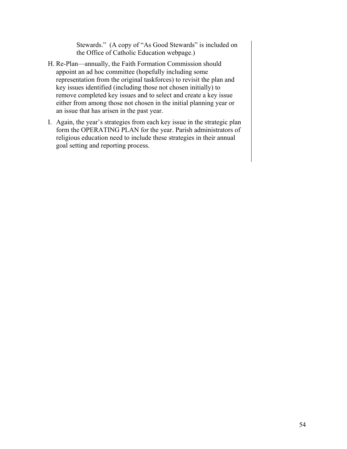Stewards." (A copy of "As Good Stewards" is included on the Office of Catholic Education webpage.)

- H. Re-Plan—annually, the Faith Formation Commission should appoint an ad hoc committee (hopefully including some representation from the original taskforces) to revisit the plan and key issues identified (including those not chosen initially) to remove completed key issues and to select and create a key issue either from among those not chosen in the initial planning year or an issue that has arisen in the past year.
- I. Again, the year's strategies from each key issue in the strategic plan form the OPERATING PLAN for the year. Parish administrators of religious education need to include these strategies in their annual goal setting and reporting process.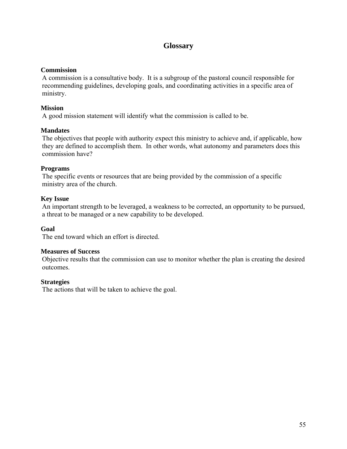# **Glossary**

## **Commission**

A commission is a consultative body. It is a subgroup of the pastoral council responsible for recommending guidelines, developing goals, and coordinating activities in a specific area of ministry.

## **Mission**

A good mission statement will identify what the commission is called to be.

#### **Mandates**

The objectives that people with authority expect this ministry to achieve and, if applicable, how they are defined to accomplish them. In other words, what autonomy and parameters does this commission have?

#### **Programs**

The specific events or resources that are being provided by the commission of a specific ministry area of the church.

#### **Key Issue**

An important strength to be leveraged, a weakness to be corrected, an opportunity to be pursued, a threat to be managed or a new capability to be developed.

## **Goal**

The end toward which an effort is directed.

#### **Measures of Success**

Objective results that the commission can use to monitor whether the plan is creating the desired outcomes.

#### **Strategies**

The actions that will be taken to achieve the goal.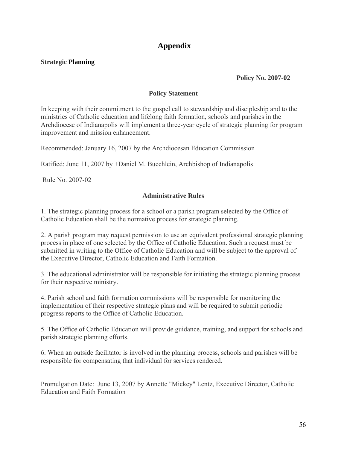# **Appendix**

## **Strategic Planning**

## **Policy No. 2007-02**

## **Policy Statement**

In keeping with their commitment to the gospel call to stewardship and discipleship and to the ministries of Catholic education and lifelong faith formation, schools and parishes in the Archdiocese of Indianapolis will implement a three-year cycle of strategic planning for program improvement and mission enhancement.

Recommended: January 16, 2007 by the Archdiocesan Education Commission

Ratified: June 11, 2007 by +Daniel M. Buechlein, Archbishop of Indianapolis

Rule No. 2007-02

#### **Administrative Rules**

1. The strategic planning process for a school or a parish program selected by the Office of Catholic Education shall be the normative process for strategic planning.

2. A parish program may request permission to use an equivalent professional strategic planning process in place of one selected by the Office of Catholic Education. Such a request must be submitted in writing to the Office of Catholic Education and will be subject to the approval of the Executive Director, Catholic Education and Faith Formation.

3. The educational administrator will be responsible for initiating the strategic planning process for their respective ministry.

4. Parish school and faith formation commissions will be responsible for monitoring the implementation of their respective strategic plans and will be required to submit periodic progress reports to the Office of Catholic Education.

5. The Office of Catholic Education will provide guidance, training, and support for schools and parish strategic planning efforts.

6. When an outside facilitator is involved in the planning process, schools and parishes will be responsible for compensating that individual for services rendered.

Promulgation Date: June 13, 2007 by Annette "Mickey" Lentz, Executive Director, Catholic Education and Faith Formation